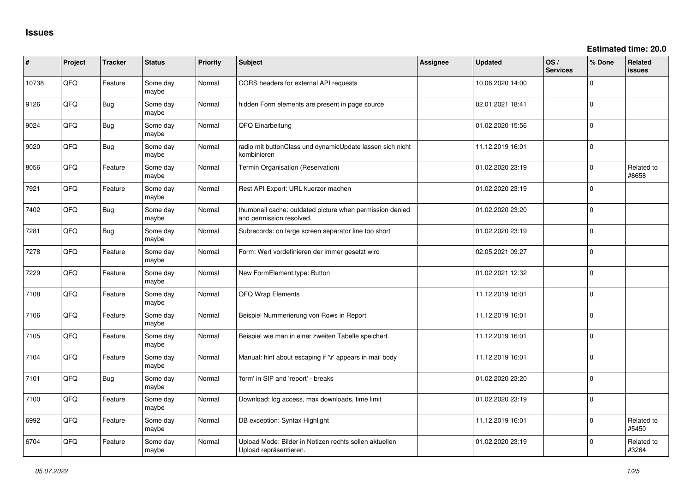**Estimated time: 20.0**

| ∦     | Project | <b>Tracker</b> | <b>Status</b>     | <b>Priority</b> | Subject                                                                              | <b>Assignee</b> | Updated          | OS/<br><b>Services</b> | % Done      | <b>Related</b><br><b>issues</b> |
|-------|---------|----------------|-------------------|-----------------|--------------------------------------------------------------------------------------|-----------------|------------------|------------------------|-------------|---------------------------------|
| 10738 | QFQ     | Feature        | Some day<br>maybe | Normal          | CORS headers for external API requests                                               |                 | 10.06.2020 14:00 |                        | $\Omega$    |                                 |
| 9126  | QFQ     | Bug            | Some day<br>maybe | Normal          | hidden Form elements are present in page source                                      |                 | 02.01.2021 18:41 |                        | $\Omega$    |                                 |
| 9024  | QFQ     | Bug            | Some day<br>maybe | Normal          | QFQ Einarbeitung                                                                     |                 | 01.02.2020 15:56 |                        | $\Omega$    |                                 |
| 9020  | QFQ     | Bug            | Some day<br>maybe | Normal          | radio mit buttonClass und dynamicUpdate lassen sich nicht<br>kombinieren             |                 | 11.12.2019 16:01 |                        | $\Omega$    |                                 |
| 8056  | QFQ     | Feature        | Some day<br>maybe | Normal          | Termin Organisation (Reservation)                                                    |                 | 01.02.2020 23:19 |                        | $\Omega$    | Related to<br>#8658             |
| 7921  | QFQ     | Feature        | Some day<br>maybe | Normal          | Rest API Export: URL kuerzer machen                                                  |                 | 01.02.2020 23:19 |                        | $\Omega$    |                                 |
| 7402  | QFQ     | Bug            | Some day<br>maybe | Normal          | thumbnail cache: outdated picture when permission denied<br>and permission resolved. |                 | 01.02.2020 23:20 |                        | $\mathbf 0$ |                                 |
| 7281  | QFQ     | Bug            | Some day<br>maybe | Normal          | Subrecords: on large screen separator line too short                                 |                 | 01.02.2020 23:19 |                        | $\Omega$    |                                 |
| 7278  | QFQ     | Feature        | Some day<br>maybe | Normal          | Form: Wert vordefinieren der immer gesetzt wird                                      |                 | 02.05.2021 09:27 |                        | $\Omega$    |                                 |
| 7229  | QFQ     | Feature        | Some day<br>maybe | Normal          | New FormElement.type: Button                                                         |                 | 01.02.2021 12:32 |                        | $\Omega$    |                                 |
| 7108  | QFQ     | Feature        | Some day<br>maybe | Normal          | QFQ Wrap Elements                                                                    |                 | 11.12.2019 16:01 |                        | $\mathbf 0$ |                                 |
| 7106  | QFQ     | Feature        | Some day<br>maybe | Normal          | Beispiel Nummerierung von Rows in Report                                             |                 | 11.12.2019 16:01 |                        | $\Omega$    |                                 |
| 7105  | QFQ     | Feature        | Some day<br>maybe | Normal          | Beispiel wie man in einer zweiten Tabelle speichert.                                 |                 | 11.12.2019 16:01 |                        | $\Omega$    |                                 |
| 7104  | QFQ     | Feature        | Some day<br>maybe | Normal          | Manual: hint about escaping if '\r' appears in mail body                             |                 | 11.12.2019 16:01 |                        | $\Omega$    |                                 |
| 7101  | QFQ     | Bug            | Some day<br>maybe | Normal          | 'form' in SIP and 'report' - breaks                                                  |                 | 01.02.2020 23:20 |                        | $\Omega$    |                                 |
| 7100  | QFQ     | Feature        | Some day<br>maybe | Normal          | Download: log access, max downloads, time limit                                      |                 | 01.02.2020 23:19 |                        | $\Omega$    |                                 |
| 6992  | QFQ     | Feature        | Some day<br>maybe | Normal          | DB exception: Syntax Highlight                                                       |                 | 11.12.2019 16:01 |                        | $\Omega$    | Related to<br>#5450             |
| 6704  | QFQ     | Feature        | Some day<br>maybe | Normal          | Upload Mode: Bilder in Notizen rechts sollen aktuellen<br>Upload repräsentieren.     |                 | 01.02.2020 23:19 |                        | $\Omega$    | Related to<br>#3264             |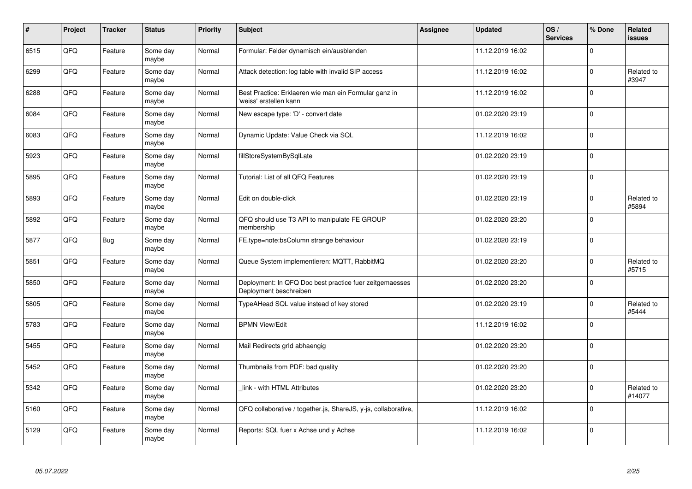| $\vert$ # | Project | <b>Tracker</b> | <b>Status</b>     | <b>Priority</b> | <b>Subject</b>                                                                    | Assignee | <b>Updated</b>   | OS/<br><b>Services</b> | % Done      | Related<br><b>issues</b> |
|-----------|---------|----------------|-------------------|-----------------|-----------------------------------------------------------------------------------|----------|------------------|------------------------|-------------|--------------------------|
| 6515      | QFQ     | Feature        | Some day<br>maybe | Normal          | Formular: Felder dynamisch ein/ausblenden                                         |          | 11.12.2019 16:02 |                        | $\Omega$    |                          |
| 6299      | QFQ     | Feature        | Some day<br>maybe | Normal          | Attack detection: log table with invalid SIP access                               |          | 11.12.2019 16:02 |                        | $\Omega$    | Related to<br>#3947      |
| 6288      | QFQ     | Feature        | Some day<br>maybe | Normal          | Best Practice: Erklaeren wie man ein Formular ganz in<br>'weiss' erstellen kann   |          | 11.12.2019 16:02 |                        | $\Omega$    |                          |
| 6084      | QFQ     | Feature        | Some day<br>maybe | Normal          | New escape type: 'D' - convert date                                               |          | 01.02.2020 23:19 |                        | $\Omega$    |                          |
| 6083      | QFQ     | Feature        | Some day<br>maybe | Normal          | Dynamic Update: Value Check via SQL                                               |          | 11.12.2019 16:02 |                        | $\Omega$    |                          |
| 5923      | QFQ     | Feature        | Some day<br>maybe | Normal          | fillStoreSystemBySqlLate                                                          |          | 01.02.2020 23:19 |                        | $\Omega$    |                          |
| 5895      | QFQ     | Feature        | Some day<br>maybe | Normal          | Tutorial: List of all QFQ Features                                                |          | 01.02.2020 23:19 |                        | $\mathbf 0$ |                          |
| 5893      | QFQ     | Feature        | Some day<br>maybe | Normal          | Edit on double-click                                                              |          | 01.02.2020 23:19 |                        | $\Omega$    | Related to<br>#5894      |
| 5892      | QFQ     | Feature        | Some day<br>maybe | Normal          | QFQ should use T3 API to manipulate FE GROUP<br>membership                        |          | 01.02.2020 23:20 |                        | $\Omega$    |                          |
| 5877      | QFQ     | Bug            | Some day<br>maybe | Normal          | FE.type=note:bsColumn strange behaviour                                           |          | 01.02.2020 23:19 |                        | $\mathbf 0$ |                          |
| 5851      | QFQ     | Feature        | Some day<br>maybe | Normal          | Queue System implementieren: MQTT, RabbitMQ                                       |          | 01.02.2020 23:20 |                        | $\Omega$    | Related to<br>#5715      |
| 5850      | QFQ     | Feature        | Some day<br>maybe | Normal          | Deployment: In QFQ Doc best practice fuer zeitgemaesses<br>Deployment beschreiben |          | 01.02.2020 23:20 |                        | $\Omega$    |                          |
| 5805      | QFQ     | Feature        | Some day<br>maybe | Normal          | TypeAHead SQL value instead of key stored                                         |          | 01.02.2020 23:19 |                        | $\mathbf 0$ | Related to<br>#5444      |
| 5783      | QFQ     | Feature        | Some day<br>maybe | Normal          | <b>BPMN View/Edit</b>                                                             |          | 11.12.2019 16:02 |                        | $\mathbf 0$ |                          |
| 5455      | QFQ     | Feature        | Some day<br>maybe | Normal          | Mail Redirects grld abhaengig                                                     |          | 01.02.2020 23:20 |                        | $\Omega$    |                          |
| 5452      | QFQ     | Feature        | Some day<br>maybe | Normal          | Thumbnails from PDF: bad quality                                                  |          | 01.02.2020 23:20 |                        | $\Omega$    |                          |
| 5342      | QFQ     | Feature        | Some day<br>maybe | Normal          | link - with HTML Attributes                                                       |          | 01.02.2020 23:20 |                        | $\Omega$    | Related to<br>#14077     |
| 5160      | QFQ     | Feature        | Some day<br>maybe | Normal          | QFQ collaborative / together.js, ShareJS, y-js, collaborative,                    |          | 11.12.2019 16:02 |                        | $\mathbf 0$ |                          |
| 5129      | QFQ     | Feature        | Some day<br>maybe | Normal          | Reports: SQL fuer x Achse und y Achse                                             |          | 11.12.2019 16:02 |                        | $\Omega$    |                          |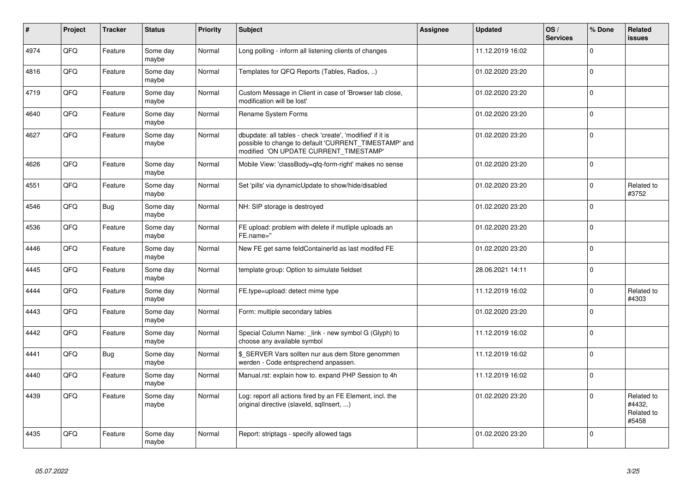| $\vert$ # | Project | <b>Tracker</b> | <b>Status</b>     | <b>Priority</b> | <b>Subject</b>                                                                                                                                                | Assignee | <b>Updated</b>   | OS/<br><b>Services</b> | % Done         | Related<br><b>issues</b>                    |
|-----------|---------|----------------|-------------------|-----------------|---------------------------------------------------------------------------------------------------------------------------------------------------------------|----------|------------------|------------------------|----------------|---------------------------------------------|
| 4974      | QFQ     | Feature        | Some day<br>maybe | Normal          | Long polling - inform all listening clients of changes                                                                                                        |          | 11.12.2019 16:02 |                        | $\Omega$       |                                             |
| 4816      | QFQ     | Feature        | Some day<br>maybe | Normal          | Templates for QFQ Reports (Tables, Radios, )                                                                                                                  |          | 01.02.2020 23:20 |                        | 0              |                                             |
| 4719      | QFQ     | Feature        | Some day<br>maybe | Normal          | Custom Message in Client in case of 'Browser tab close,<br>modification will be lost'                                                                         |          | 01.02.2020 23:20 |                        | $\mathbf 0$    |                                             |
| 4640      | QFQ     | Feature        | Some day<br>maybe | Normal          | Rename System Forms                                                                                                                                           |          | 01.02.2020 23:20 |                        | $\Omega$       |                                             |
| 4627      | QFQ     | Feature        | Some day<br>maybe | Normal          | dbupdate: all tables - check 'create', 'modified' if it is<br>possible to change to default 'CURRENT_TIMESTAMP' and<br>modified 'ON UPDATE CURRENT TIMESTAMP' |          | 01.02.2020 23:20 |                        | $\Omega$       |                                             |
| 4626      | QFQ     | Feature        | Some day<br>maybe | Normal          | Mobile View: 'classBody=qfq-form-right' makes no sense                                                                                                        |          | 01.02.2020 23:20 |                        | $\Omega$       |                                             |
| 4551      | QFQ     | Feature        | Some day<br>maybe | Normal          | Set 'pills' via dynamicUpdate to show/hide/disabled                                                                                                           |          | 01.02.2020 23:20 |                        | 0              | Related to<br>#3752                         |
| 4546      | QFQ     | Bug            | Some day<br>maybe | Normal          | NH: SIP storage is destroyed                                                                                                                                  |          | 01.02.2020 23:20 |                        | $\mathbf 0$    |                                             |
| 4536      | QFQ     | Feature        | Some day<br>maybe | Normal          | FE upload: problem with delete if mutliple uploads an<br>FE.name="                                                                                            |          | 01.02.2020 23:20 |                        | $\mathbf 0$    |                                             |
| 4446      | QFQ     | Feature        | Some day<br>maybe | Normal          | New FE get same feldContainerId as last modifed FE                                                                                                            |          | 01.02.2020 23:20 |                        | $\mathbf 0$    |                                             |
| 4445      | QFQ     | Feature        | Some day<br>maybe | Normal          | template group: Option to simulate fieldset                                                                                                                   |          | 28.06.2021 14:11 |                        | $\mathbf 0$    |                                             |
| 4444      | QFQ     | Feature        | Some day<br>maybe | Normal          | FE.type=upload: detect mime type                                                                                                                              |          | 11.12.2019 16:02 |                        | $\Omega$       | Related to<br>#4303                         |
| 4443      | QFQ     | Feature        | Some day<br>maybe | Normal          | Form: multiple secondary tables                                                                                                                               |          | 01.02.2020 23:20 |                        | $\Omega$       |                                             |
| 4442      | QFQ     | Feature        | Some day<br>maybe | Normal          | Special Column Name: link - new symbol G (Glyph) to<br>choose any available symbol                                                                            |          | 11.12.2019 16:02 |                        | $\Omega$       |                                             |
| 4441      | QFQ     | Bug            | Some day<br>maybe | Normal          | \$_SERVER Vars sollten nur aus dem Store genommen<br>werden - Code entsprechend anpassen.                                                                     |          | 11.12.2019 16:02 |                        | $\Omega$       |                                             |
| 4440      | QFQ     | Feature        | Some day<br>maybe | Normal          | Manual.rst: explain how to. expand PHP Session to 4h                                                                                                          |          | 11.12.2019 16:02 |                        | $\Omega$       |                                             |
| 4439      | QFQ     | Feature        | Some day<br>maybe | Normal          | Log: report all actions fired by an FE Element, incl. the<br>original directive (slaveld, sqllnsert, )                                                        |          | 01.02.2020 23:20 |                        | $\Omega$       | Related to<br>#4432,<br>Related to<br>#5458 |
| 4435      | QFQ     | Feature        | Some day<br>maybe | Normal          | Report: striptags - specify allowed tags                                                                                                                      |          | 01.02.2020 23:20 |                        | $\overline{0}$ |                                             |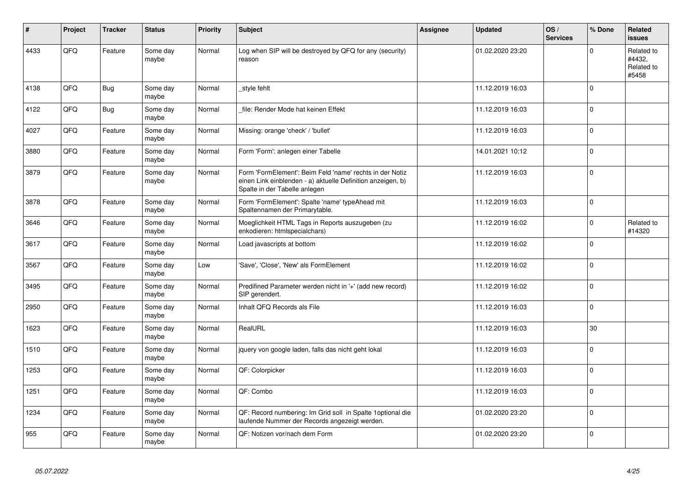| $\vert$ # | Project | <b>Tracker</b> | <b>Status</b>     | <b>Priority</b> | <b>Subject</b>                                                                                                                                           | <b>Assignee</b> | <b>Updated</b>   | OS/<br><b>Services</b> | % Done      | Related<br><b>issues</b>                    |
|-----------|---------|----------------|-------------------|-----------------|----------------------------------------------------------------------------------------------------------------------------------------------------------|-----------------|------------------|------------------------|-------------|---------------------------------------------|
| 4433      | QFQ     | Feature        | Some day<br>maybe | Normal          | Log when SIP will be destroyed by QFQ for any (security)<br>reason                                                                                       |                 | 01.02.2020 23:20 |                        | $\Omega$    | Related to<br>#4432.<br>Related to<br>#5458 |
| 4138      | QFQ     | Bug            | Some day<br>maybe | Normal          | style fehlt                                                                                                                                              |                 | 11.12.2019 16:03 |                        | $\Omega$    |                                             |
| 4122      | QFQ     | <b>Bug</b>     | Some day<br>maybe | Normal          | file: Render Mode hat keinen Effekt                                                                                                                      |                 | 11.12.2019 16:03 |                        | $\Omega$    |                                             |
| 4027      | QFQ     | Feature        | Some day<br>maybe | Normal          | Missing: orange 'check' / 'bullet'                                                                                                                       |                 | 11.12.2019 16:03 |                        | $\Omega$    |                                             |
| 3880      | QFQ     | Feature        | Some day<br>maybe | Normal          | Form 'Form': anlegen einer Tabelle                                                                                                                       |                 | 14.01.2021 10:12 |                        | 0           |                                             |
| 3879      | QFQ     | Feature        | Some day<br>maybe | Normal          | Form 'FormElement': Beim Feld 'name' rechts in der Notiz<br>einen Link einblenden - a) aktuelle Definition anzeigen, b)<br>Spalte in der Tabelle anlegen |                 | 11.12.2019 16:03 |                        | $\mathbf 0$ |                                             |
| 3878      | QFQ     | Feature        | Some day<br>maybe | Normal          | Form 'FormElement': Spalte 'name' typeAhead mit<br>Spaltennamen der Primarytable.                                                                        |                 | 11.12.2019 16:03 |                        | $\Omega$    |                                             |
| 3646      | QFQ     | Feature        | Some day<br>maybe | Normal          | Moeglichkeit HTML Tags in Reports auszugeben (zu<br>enkodieren: htmlspecialchars)                                                                        |                 | 11.12.2019 16:02 |                        | $\Omega$    | Related to<br>#14320                        |
| 3617      | QFQ     | Feature        | Some day<br>maybe | Normal          | Load javascripts at bottom                                                                                                                               |                 | 11.12.2019 16:02 |                        | $\Omega$    |                                             |
| 3567      | QFQ     | Feature        | Some day<br>maybe | Low             | 'Save', 'Close', 'New' als FormElement                                                                                                                   |                 | 11.12.2019 16:02 |                        | $\Omega$    |                                             |
| 3495      | QFQ     | Feature        | Some day<br>maybe | Normal          | Predifined Parameter werden nicht in '+' (add new record)<br>SIP gerendert.                                                                              |                 | 11.12.2019 16:02 |                        | $\mathbf 0$ |                                             |
| 2950      | QFQ     | Feature        | Some day<br>maybe | Normal          | Inhalt QFQ Records als File                                                                                                                              |                 | 11.12.2019 16:03 |                        | $\Omega$    |                                             |
| 1623      | QFQ     | Feature        | Some day<br>maybe | Normal          | RealURL                                                                                                                                                  |                 | 11.12.2019 16:03 |                        | 30          |                                             |
| 1510      | QFQ     | Feature        | Some day<br>maybe | Normal          | jquery von google laden, falls das nicht geht lokal                                                                                                      |                 | 11.12.2019 16:03 |                        | $\Omega$    |                                             |
| 1253      | QFQ     | Feature        | Some day<br>maybe | Normal          | QF: Colorpicker                                                                                                                                          |                 | 11.12.2019 16:03 |                        | $\Omega$    |                                             |
| 1251      | QFQ     | Feature        | Some day<br>maybe | Normal          | QF: Combo                                                                                                                                                |                 | 11.12.2019 16:03 |                        | $\Omega$    |                                             |
| 1234      | QFQ     | Feature        | Some day<br>maybe | Normal          | QF: Record numbering: Im Grid soll in Spalte 1 optional die<br>laufende Nummer der Records angezeigt werden.                                             |                 | 01.02.2020 23:20 |                        | $\mathbf 0$ |                                             |
| 955       | QFQ     | Feature        | Some day<br>maybe | Normal          | QF: Notizen vor/nach dem Form                                                                                                                            |                 | 01.02.2020 23:20 |                        | $\mathbf 0$ |                                             |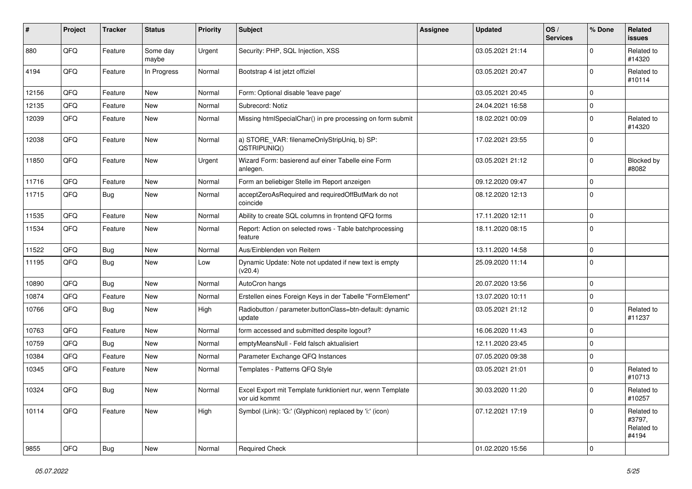| #     | Project | <b>Tracker</b> | <b>Status</b>     | <b>Priority</b> | <b>Subject</b>                                                             | <b>Assignee</b> | <b>Updated</b>   | OS/<br><b>Services</b> | % Done         | Related<br>issues                           |
|-------|---------|----------------|-------------------|-----------------|----------------------------------------------------------------------------|-----------------|------------------|------------------------|----------------|---------------------------------------------|
| 880   | QFQ     | Feature        | Some day<br>maybe | Urgent          | Security: PHP, SQL Injection, XSS                                          |                 | 03.05.2021 21:14 |                        | $\Omega$       | Related to<br>#14320                        |
| 4194  | QFQ     | Feature        | In Progress       | Normal          | Bootstrap 4 ist jetzt offiziel                                             |                 | 03.05.2021 20:47 |                        | $\Omega$       | Related to<br>#10114                        |
| 12156 | QFQ     | Feature        | New               | Normal          | Form: Optional disable 'leave page'                                        |                 | 03.05.2021 20:45 |                        | $\Omega$       |                                             |
| 12135 | QFQ     | Feature        | <b>New</b>        | Normal          | Subrecord: Notiz                                                           |                 | 24.04.2021 16:58 |                        | $\Omega$       |                                             |
| 12039 | QFQ     | Feature        | New               | Normal          | Missing htmlSpecialChar() in pre processing on form submit                 |                 | 18.02.2021 00:09 |                        | $\Omega$       | Related to<br>#14320                        |
| 12038 | QFQ     | Feature        | <b>New</b>        | Normal          | a) STORE_VAR: filenameOnlyStripUniq, b) SP:<br>QSTRIPUNIQ()                |                 | 17.02.2021 23:55 |                        | $\mathbf 0$    |                                             |
| 11850 | QFQ     | Feature        | <b>New</b>        | Urgent          | Wizard Form: basierend auf einer Tabelle eine Form<br>anlegen.             |                 | 03.05.2021 21:12 |                        | $\Omega$       | Blocked by<br>#8082                         |
| 11716 | QFQ     | Feature        | <b>New</b>        | Normal          | Form an beliebiger Stelle im Report anzeigen                               |                 | 09.12.2020 09:47 |                        | 0              |                                             |
| 11715 | QFQ     | <b>Bug</b>     | <b>New</b>        | Normal          | acceptZeroAsRequired and requiredOffButMark do not<br>coincide             |                 | 08.12.2020 12:13 |                        | $\Omega$       |                                             |
| 11535 | QFQ     | Feature        | New               | Normal          | Ability to create SQL columns in frontend QFQ forms                        |                 | 17.11.2020 12:11 |                        | $\Omega$       |                                             |
| 11534 | QFQ     | Feature        | <b>New</b>        | Normal          | Report: Action on selected rows - Table batchprocessing<br>feature         |                 | 18.11.2020 08:15 |                        | 0              |                                             |
| 11522 | QFQ     | Bug            | <b>New</b>        | Normal          | Aus/Einblenden von Reitern                                                 |                 | 13.11.2020 14:58 |                        | $\Omega$       |                                             |
| 11195 | QFQ     | <b>Bug</b>     | <b>New</b>        | Low             | Dynamic Update: Note not updated if new text is empty<br>(v20.4)           |                 | 25.09.2020 11:14 |                        | $\Omega$       |                                             |
| 10890 | QFQ     | Bug            | New               | Normal          | AutoCron hangs                                                             |                 | 20.07.2020 13:56 |                        | $\Omega$       |                                             |
| 10874 | QFQ     | Feature        | <b>New</b>        | Normal          | Erstellen eines Foreign Keys in der Tabelle "FormElement"                  |                 | 13.07.2020 10:11 |                        | $\mathbf 0$    |                                             |
| 10766 | QFQ     | Bug            | <b>New</b>        | High            | Radiobutton / parameter.buttonClass=btn-default: dynamic<br>update         |                 | 03.05.2021 21:12 |                        | $\Omega$       | Related to<br>#11237                        |
| 10763 | QFQ     | Feature        | New               | Normal          | form accessed and submitted despite logout?                                |                 | 16.06.2020 11:43 |                        | $\mathbf 0$    |                                             |
| 10759 | QFQ     | Bug            | <b>New</b>        | Normal          | emptyMeansNull - Feld falsch aktualisiert                                  |                 | 12.11.2020 23:45 |                        | $\Omega$       |                                             |
| 10384 | QFQ     | Feature        | <b>New</b>        | Normal          | Parameter Exchange QFQ Instances                                           |                 | 07.05.2020 09:38 |                        | $\mathbf 0$    |                                             |
| 10345 | QFQ     | Feature        | <b>New</b>        | Normal          | Templates - Patterns QFQ Style                                             |                 | 03.05.2021 21:01 |                        | $\Omega$       | Related to<br>#10713                        |
| 10324 | QFQ     | Bug            | New               | Normal          | Excel Export mit Template funktioniert nur, wenn Template<br>vor uid kommt |                 | 30.03.2020 11:20 |                        | $^{\circ}$ 0   | Related to<br>#10257                        |
| 10114 | QFQ     | Feature        | New               | High            | Symbol (Link): 'G:' (Glyphicon) replaced by 'i:' (icon)                    |                 | 07.12.2021 17:19 |                        | $\mathbf 0$    | Related to<br>#3797,<br>Related to<br>#4194 |
| 9855  | QFQ     | <b>Bug</b>     | New               | Normal          | <b>Required Check</b>                                                      |                 | 01.02.2020 15:56 |                        | $\overline{0}$ |                                             |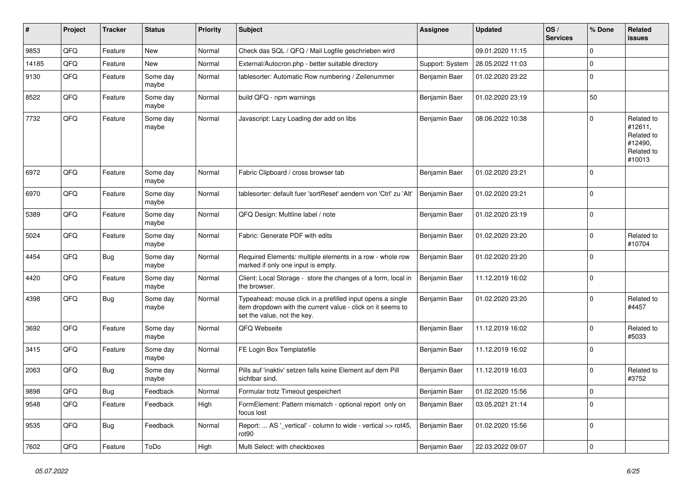| ∦     | Project | <b>Tracker</b> | <b>Status</b>     | <b>Priority</b> | <b>Subject</b>                                                                                                                                           | Assignee        | <b>Updated</b>                   | OS/<br><b>Services</b> | % Done      | Related<br>issues                                                      |
|-------|---------|----------------|-------------------|-----------------|----------------------------------------------------------------------------------------------------------------------------------------------------------|-----------------|----------------------------------|------------------------|-------------|------------------------------------------------------------------------|
| 9853  | QFQ     | Feature        | <b>New</b>        | Normal          | Check das SQL / QFQ / Mail Logfile geschrieben wird                                                                                                      |                 | 09.01.2020 11:15                 |                        | $\Omega$    |                                                                        |
| 14185 | QFQ     | Feature        | <b>New</b>        | Normal          | External/Autocron.php - better suitable directory                                                                                                        | Support: System | 28.05.2022 11:03                 |                        | $\mathbf 0$ |                                                                        |
| 9130  | QFQ     | Feature        | Some day<br>maybe | Normal          | tablesorter: Automatic Row numbering / Zeilenummer                                                                                                       | Benjamin Baer   | 01.02.2020 23:22                 |                        | $\mathbf 0$ |                                                                        |
| 8522  | QFQ     | Feature        | Some day<br>maybe | Normal          | build QFQ - npm warnings                                                                                                                                 | Benjamin Baer   | 01.02.2020 23:19                 |                        | 50          |                                                                        |
| 7732  | QFQ     | Feature        | Some day<br>maybe | Normal          | Javascript: Lazy Loading der add on libs                                                                                                                 | Benjamin Baer   | 08.06.2022 10:38                 |                        | $\mathbf 0$ | Related to<br>#12611,<br>Related to<br>#12490.<br>Related to<br>#10013 |
| 6972  | QFQ     | Feature        | Some day<br>maybe | Normal          | Fabric Clipboard / cross browser tab                                                                                                                     | Benjamin Baer   | 01.02.2020 23:21                 |                        | 0           |                                                                        |
| 6970  | QFQ     | Feature        | Some day<br>maybe | Normal          | tablesorter: default fuer 'sortReset' aendern von 'Ctrl' zu 'Alt'                                                                                        | Benjamin Baer   | 01.02.2020 23:21                 |                        | $\mathbf 0$ |                                                                        |
| 5389  | QFQ     | Feature        | Some day<br>maybe | Normal          | QFQ Design: Multline label / note                                                                                                                        | Benjamin Baer   | 01.02.2020 23:19                 |                        | $\mathbf 0$ |                                                                        |
| 5024  | QFQ     | Feature        | Some day<br>maybe | Normal          | Fabric: Generate PDF with edits                                                                                                                          | Benjamin Baer   | 01.02.2020 23:20                 |                        | $\mathbf 0$ | Related to<br>#10704                                                   |
| 4454  | QFQ     | Bug            | Some day<br>maybe | Normal          | Required Elements: multiple elements in a row - whole row<br>marked if only one input is empty.                                                          | Benjamin Baer   | 01.02.2020 23:20                 |                        | $\mathbf 0$ |                                                                        |
| 4420  | QFQ     | Feature        | Some day<br>maybe | Normal          | Client: Local Storage - store the changes of a form, local in<br>the browser.                                                                            | Benjamin Baer   | 11.12.2019 16:02                 |                        | $\mathbf 0$ |                                                                        |
| 4398  | QFQ     | Bug            | Some day<br>maybe | Normal          | Typeahead: mouse click in a prefilled input opens a single<br>item dropdown with the current value - click on it seems to<br>set the value, not the key. | Benjamin Baer   | 01.02.2020 23:20                 |                        | $\Omega$    | Related to<br>#4457                                                    |
| 3692  | QFQ     | Feature        | Some day<br>maybe | Normal          | QFQ Webseite                                                                                                                                             | Benjamin Baer   | 11.12.2019 16:02                 |                        | $\Omega$    | Related to<br>#5033                                                    |
| 3415  | QFQ     | Feature        | Some day<br>maybe | Normal          | FE Login Box Templatefile                                                                                                                                | Benjamin Baer   | 11.12.2019 16:02                 |                        | $\Omega$    |                                                                        |
| 2063  | QFQ     | Bug            | Some day<br>maybe | Normal          | Pills auf 'inaktiv' setzen falls keine Element auf dem Pill<br>sichtbar sind.                                                                            | Benjamin Baer   | 11.12.2019 16:03                 |                        | $\Omega$    | Related to<br>#3752                                                    |
| 9898  | QFQ     | Bug            | Feedback          | Normal          | Formular trotz Timeout gespeichert                                                                                                                       |                 | Benjamin Baer   01.02.2020 15:56 |                        | $\pmb{0}$   |                                                                        |
| 9548  | QFQ     | Feature        | Feedback          | High            | FormElement: Pattern mismatch - optional report only on<br>focus lost                                                                                    | Benjamin Baer   | 03.05.2021 21:14                 |                        | $\mathbf 0$ |                                                                        |
| 9535  | QFQ     | <b>Bug</b>     | Feedback          | Normal          | Report:  AS '_vertical' - column to wide - vertical >> rot45,<br>rot90                                                                                   | Benjamin Baer   | 01.02.2020 15:56                 |                        | 0           |                                                                        |
| 7602  | QFQ     | Feature        | ToDo              | High            | Multi Select: with checkboxes                                                                                                                            | Benjamin Baer   | 22.03.2022 09:07                 |                        | 0           |                                                                        |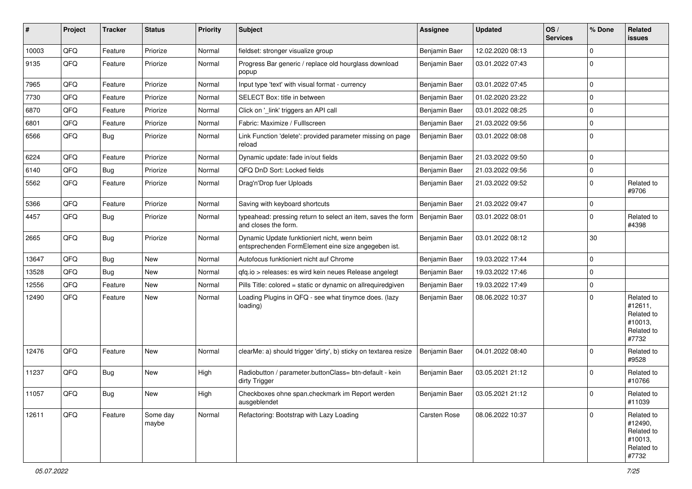| #     | Project | <b>Tracker</b> | <b>Status</b>     | <b>Priority</b> | <b>Subject</b>                                                                                      | <b>Assignee</b> | <b>Updated</b>   | OS/<br><b>Services</b> | % Done      | Related<br>issues                                                     |
|-------|---------|----------------|-------------------|-----------------|-----------------------------------------------------------------------------------------------------|-----------------|------------------|------------------------|-------------|-----------------------------------------------------------------------|
| 10003 | QFQ     | Feature        | Priorize          | Normal          | fieldset: stronger visualize group                                                                  | Benjamin Baer   | 12.02.2020 08:13 |                        | $\Omega$    |                                                                       |
| 9135  | QFQ     | Feature        | Priorize          | Normal          | Progress Bar generic / replace old hourglass download<br>popup                                      | Benjamin Baer   | 03.01.2022 07:43 |                        | $\Omega$    |                                                                       |
| 7965  | QFQ     | Feature        | Priorize          | Normal          | Input type 'text' with visual format - currency                                                     | Benjamin Baer   | 03.01.2022 07:45 |                        | 0           |                                                                       |
| 7730  | QFQ     | Feature        | Priorize          | Normal          | SELECT Box: title in between                                                                        | Benjamin Baer   | 01.02.2020 23:22 |                        | 0           |                                                                       |
| 6870  | QFQ     | Feature        | Priorize          | Normal          | Click on '_link' triggers an API call                                                               | Benjamin Baer   | 03.01.2022 08:25 |                        | $\Omega$    |                                                                       |
| 6801  | QFQ     | Feature        | Priorize          | Normal          | Fabric: Maximize / FullIscreen                                                                      | Benjamin Baer   | 21.03.2022 09:56 |                        | $\mathbf 0$ |                                                                       |
| 6566  | QFQ     | Bug            | Priorize          | Normal          | Link Function 'delete': provided parameter missing on page<br>reload                                | Benjamin Baer   | 03.01.2022 08:08 |                        | $\Omega$    |                                                                       |
| 6224  | QFQ     | Feature        | Priorize          | Normal          | Dynamic update: fade in/out fields                                                                  | Benjamin Baer   | 21.03.2022 09:50 |                        | $\Omega$    |                                                                       |
| 6140  | QFQ     | Bug            | Priorize          | Normal          | QFQ DnD Sort: Locked fields                                                                         | Benjamin Baer   | 21.03.2022 09:56 |                        | $\mathbf 0$ |                                                                       |
| 5562  | QFQ     | Feature        | Priorize          | Normal          | Drag'n'Drop fuer Uploads                                                                            | Benjamin Baer   | 21.03.2022 09:52 |                        | $\Omega$    | Related to<br>#9706                                                   |
| 5366  | QFQ     | Feature        | Priorize          | Normal          | Saving with keyboard shortcuts                                                                      | Benjamin Baer   | 21.03.2022 09:47 |                        | $\mathbf 0$ |                                                                       |
| 4457  | QFQ     | Bug            | Priorize          | Normal          | typeahead: pressing return to select an item, saves the form<br>and closes the form.                | Benjamin Baer   | 03.01.2022 08:01 |                        | $\Omega$    | Related to<br>#4398                                                   |
| 2665  | QFQ     | Bug            | Priorize          | Normal          | Dynamic Update funktioniert nicht, wenn beim<br>entsprechenden FormElement eine size angegeben ist. | Benjamin Baer   | 03.01.2022 08:12 |                        | 30          |                                                                       |
| 13647 | QFQ     | Bug            | <b>New</b>        | Normal          | Autofocus funktioniert nicht auf Chrome                                                             | Benjamin Baer   | 19.03.2022 17:44 |                        | 0           |                                                                       |
| 13528 | QFQ     | Bug            | <b>New</b>        | Normal          | qfq.io > releases: es wird kein neues Release angelegt                                              | Benjamin Baer   | 19.03.2022 17:46 |                        | 0           |                                                                       |
| 12556 | QFQ     | Feature        | <b>New</b>        | Normal          | Pills Title: colored = static or dynamic on allrequiredgiven                                        | Benjamin Baer   | 19.03.2022 17:49 |                        | 0           |                                                                       |
| 12490 | QFQ     | Feature        | New               | Normal          | Loading Plugins in QFQ - see what tinymce does. (lazy<br>loading)                                   | Benjamin Baer   | 08.06.2022 10:37 |                        | $\Omega$    | Related to<br>#12611,<br>Related to<br>#10013,<br>Related to<br>#7732 |
| 12476 | QFQ     | Feature        | New               | Normal          | clearMe: a) should trigger 'dirty', b) sticky on textarea resize                                    | Benjamin Baer   | 04.01.2022 08:40 |                        | $\Omega$    | Related to<br>#9528                                                   |
| 11237 | QFQ     | Bug            | <b>New</b>        | High            | Radiobutton / parameter.buttonClass= btn-default - kein<br>dirty Trigger                            | Benjamin Baer   | 03.05.2021 21:12 |                        | $\Omega$    | Related to<br>#10766                                                  |
| 11057 | QFQ     | <b>Bug</b>     | New               | High            | Checkboxes ohne span.checkmark im Report werden<br>ausgeblendet                                     | Benjamin Baer   | 03.05.2021 21:12 |                        | 0           | Related to<br>#11039                                                  |
| 12611 | QFQ     | Feature        | Some day<br>maybe | Normal          | Refactoring: Bootstrap with Lazy Loading                                                            | Carsten Rose    | 08.06.2022 10:37 |                        | $\mathbf 0$ | Related to<br>#12490,<br>Related to<br>#10013,<br>Related to<br>#7732 |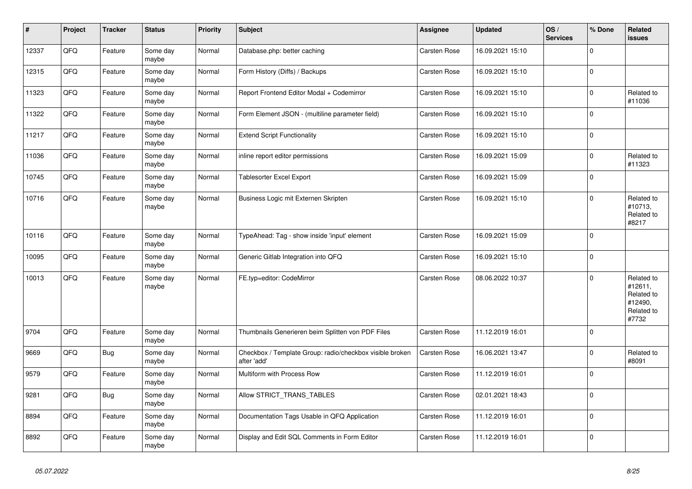| $\vert$ # | <b>Project</b> | <b>Tracker</b> | <b>Status</b>     | <b>Priority</b> | <b>Subject</b>                                                          | Assignee            | <b>Updated</b>   | OS/<br><b>Services</b> | % Done      | Related<br>issues                                                     |
|-----------|----------------|----------------|-------------------|-----------------|-------------------------------------------------------------------------|---------------------|------------------|------------------------|-------------|-----------------------------------------------------------------------|
| 12337     | QFQ            | Feature        | Some day<br>maybe | Normal          | Database.php: better caching                                            | Carsten Rose        | 16.09.2021 15:10 |                        | $\Omega$    |                                                                       |
| 12315     | QFQ            | Feature        | Some day<br>maybe | Normal          | Form History (Diffs) / Backups                                          | Carsten Rose        | 16.09.2021 15:10 |                        | $\Omega$    |                                                                       |
| 11323     | QFQ            | Feature        | Some day<br>maybe | Normal          | Report Frontend Editor Modal + Codemirror                               | Carsten Rose        | 16.09.2021 15:10 |                        | $\Omega$    | Related to<br>#11036                                                  |
| 11322     | QFQ            | Feature        | Some day<br>maybe | Normal          | Form Element JSON - (multiline parameter field)                         | Carsten Rose        | 16.09.2021 15:10 |                        | $\Omega$    |                                                                       |
| 11217     | QFQ            | Feature        | Some day<br>maybe | Normal          | <b>Extend Script Functionality</b>                                      | Carsten Rose        | 16.09.2021 15:10 |                        | $\Omega$    |                                                                       |
| 11036     | QFQ            | Feature        | Some day<br>maybe | Normal          | inline report editor permissions                                        | Carsten Rose        | 16.09.2021 15:09 |                        | $\Omega$    | Related to<br>#11323                                                  |
| 10745     | QFQ            | Feature        | Some day<br>maybe | Normal          | <b>Tablesorter Excel Export</b>                                         | <b>Carsten Rose</b> | 16.09.2021 15:09 |                        | $\Omega$    |                                                                       |
| 10716     | QFQ            | Feature        | Some day<br>maybe | Normal          | Business Logic mit Externen Skripten                                    | Carsten Rose        | 16.09.2021 15:10 |                        | $\Omega$    | Related to<br>#10713,<br>Related to<br>#8217                          |
| 10116     | QFQ            | Feature        | Some day<br>maybe | Normal          | TypeAhead: Tag - show inside 'input' element                            | Carsten Rose        | 16.09.2021 15:09 |                        | $\Omega$    |                                                                       |
| 10095     | QFQ            | Feature        | Some day<br>maybe | Normal          | Generic Gitlab Integration into QFQ                                     | <b>Carsten Rose</b> | 16.09.2021 15:10 |                        | $\Omega$    |                                                                       |
| 10013     | QFQ            | Feature        | Some day<br>maybe | Normal          | FE.typ=editor: CodeMirror                                               | Carsten Rose        | 08.06.2022 10:37 |                        | $\Omega$    | Related to<br>#12611,<br>Related to<br>#12490,<br>Related to<br>#7732 |
| 9704      | QFQ            | Feature        | Some day<br>maybe | Normal          | Thumbnails Generieren beim Splitten von PDF Files                       | Carsten Rose        | 11.12.2019 16:01 |                        | $\Omega$    |                                                                       |
| 9669      | QFQ            | Bug            | Some day<br>maybe | Normal          | Checkbox / Template Group: radio/checkbox visible broken<br>after 'add' | Carsten Rose        | 16.06.2021 13:47 |                        | $\Omega$    | Related to<br>#8091                                                   |
| 9579      | QFQ            | Feature        | Some day<br>maybe | Normal          | Multiform with Process Row                                              | Carsten Rose        | 11.12.2019 16:01 |                        | $\Omega$    |                                                                       |
| 9281      | QFQ            | <b>Bug</b>     | Some day<br>maybe | Normal          | Allow STRICT TRANS TABLES                                               | <b>Carsten Rose</b> | 02.01.2021 18:43 |                        | $\Omega$    |                                                                       |
| 8894      | QFQ            | Feature        | Some day<br>maybe | Normal          | Documentation Tags Usable in QFQ Application                            | Carsten Rose        | 11.12.2019 16:01 |                        | $\mathbf 0$ |                                                                       |
| 8892      | QFQ            | Feature        | Some day<br>maybe | Normal          | Display and Edit SQL Comments in Form Editor                            | Carsten Rose        | 11.12.2019 16:01 |                        | $\Omega$    |                                                                       |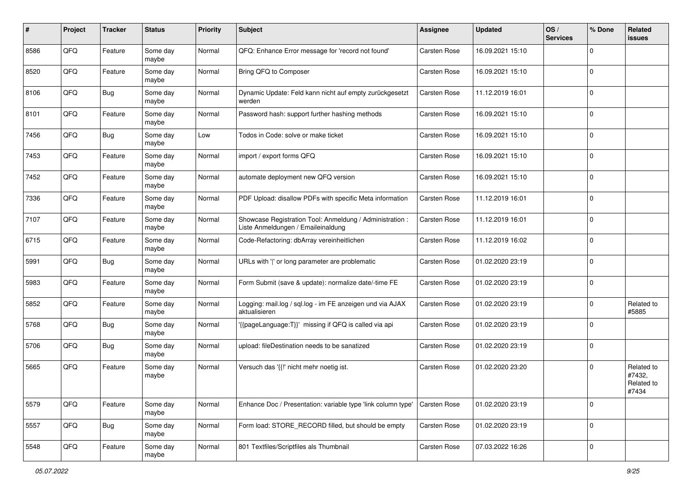| ∦    | Project | <b>Tracker</b> | <b>Status</b>     | <b>Priority</b> | <b>Subject</b>                                                                                 | <b>Assignee</b>     | <b>Updated</b>   | OS/<br><b>Services</b> | % Done      | Related<br>issues                           |
|------|---------|----------------|-------------------|-----------------|------------------------------------------------------------------------------------------------|---------------------|------------------|------------------------|-------------|---------------------------------------------|
| 8586 | QFQ     | Feature        | Some day<br>maybe | Normal          | QFQ: Enhance Error message for 'record not found'                                              | <b>Carsten Rose</b> | 16.09.2021 15:10 |                        | $\mathbf 0$ |                                             |
| 8520 | QFQ     | Feature        | Some day<br>maybe | Normal          | Bring QFQ to Composer                                                                          | <b>Carsten Rose</b> | 16.09.2021 15:10 |                        | $\mathbf 0$ |                                             |
| 8106 | QFQ     | Bug            | Some day<br>maybe | Normal          | Dynamic Update: Feld kann nicht auf empty zurückgesetzt<br>werden                              | <b>Carsten Rose</b> | 11.12.2019 16:01 |                        | $\mathbf 0$ |                                             |
| 8101 | QFQ     | Feature        | Some day<br>maybe | Normal          | Password hash: support further hashing methods                                                 | <b>Carsten Rose</b> | 16.09.2021 15:10 |                        | $\mathbf 0$ |                                             |
| 7456 | QFQ     | Bug            | Some day<br>maybe | Low             | Todos in Code: solve or make ticket                                                            | <b>Carsten Rose</b> | 16.09.2021 15:10 |                        | $\mathbf 0$ |                                             |
| 7453 | QFQ     | Feature        | Some day<br>maybe | Normal          | import / export forms QFQ                                                                      | Carsten Rose        | 16.09.2021 15:10 |                        | $\mathbf 0$ |                                             |
| 7452 | QFQ     | Feature        | Some day<br>maybe | Normal          | automate deployment new QFQ version                                                            | Carsten Rose        | 16.09.2021 15:10 |                        | $\mathbf 0$ |                                             |
| 7336 | QFQ     | Feature        | Some day<br>maybe | Normal          | PDF Upload: disallow PDFs with specific Meta information                                       | <b>Carsten Rose</b> | 11.12.2019 16:01 |                        | 0           |                                             |
| 7107 | QFQ     | Feature        | Some day<br>maybe | Normal          | Showcase Registration Tool: Anmeldung / Administration :<br>Liste Anmeldungen / Emaileinaldung | Carsten Rose        | 11.12.2019 16:01 |                        | $\mathbf 0$ |                                             |
| 6715 | QFQ     | Feature        | Some day<br>maybe | Normal          | Code-Refactoring: dbArray vereinheitlichen                                                     | <b>Carsten Rose</b> | 11.12.2019 16:02 |                        | $\mathbf 0$ |                                             |
| 5991 | QFQ     | <b>Bug</b>     | Some day<br>maybe | Normal          | URLs with ' ' or long parameter are problematic                                                | <b>Carsten Rose</b> | 01.02.2020 23:19 |                        | $\mathbf 0$ |                                             |
| 5983 | QFQ     | Feature        | Some day<br>maybe | Normal          | Form Submit (save & update): normalize date/-time FE                                           | <b>Carsten Rose</b> | 01.02.2020 23:19 |                        | $\mathbf 0$ |                                             |
| 5852 | QFQ     | Feature        | Some day<br>maybe | Normal          | Logging: mail.log / sql.log - im FE anzeigen und via AJAX<br>aktualisieren                     | <b>Carsten Rose</b> | 01.02.2020 23:19 |                        | $\mathbf 0$ | Related to<br>#5885                         |
| 5768 | QFQ     | Bug            | Some day<br>maybe | Normal          | '{{pageLanguage:T}}' missing if QFQ is called via api                                          | Carsten Rose        | 01.02.2020 23:19 |                        | $\mathbf 0$ |                                             |
| 5706 | QFQ     | Bug            | Some day<br>maybe | Normal          | upload: fileDestination needs to be sanatized                                                  | <b>Carsten Rose</b> | 01.02.2020 23:19 |                        | $\mathbf 0$ |                                             |
| 5665 | QFQ     | Feature        | Some day<br>maybe | Normal          | Versuch das '{{!' nicht mehr noetig ist.                                                       | <b>Carsten Rose</b> | 01.02.2020 23:20 |                        | $\mathbf 0$ | Related to<br>#7432,<br>Related to<br>#7434 |
| 5579 | QFQ     | Feature        | Some day<br>maybe | Normal          | Enhance Doc / Presentation: variable type 'link column type'                                   | <b>Carsten Rose</b> | 01.02.2020 23:19 |                        | $\mathbf 0$ |                                             |
| 5557 | QFQ     | <b>Bug</b>     | Some day<br>maybe | Normal          | Form load: STORE_RECORD filled, but should be empty                                            | Carsten Rose        | 01.02.2020 23:19 |                        | $\mathsf 0$ |                                             |
| 5548 | QFQ     | Feature        | Some day<br>maybe | Normal          | 801 Textfiles/Scriptfiles als Thumbnail                                                        | Carsten Rose        | 07.03.2022 16:26 |                        | $\pmb{0}$   |                                             |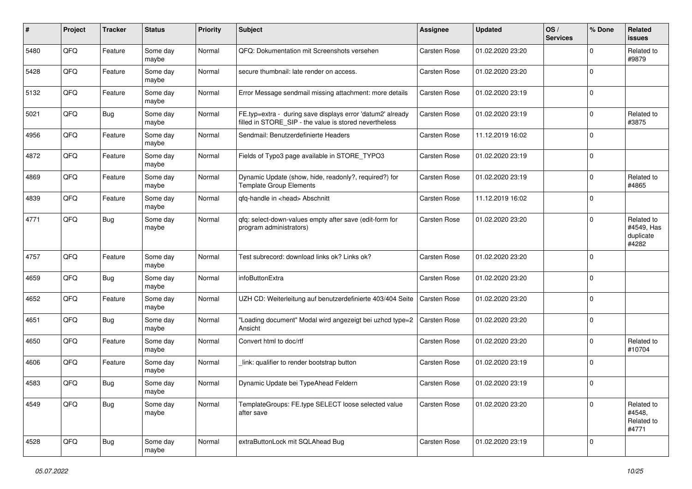| #    | Project | <b>Tracker</b> | <b>Status</b>     | <b>Priority</b> | <b>Subject</b>                                                                                                       | Assignee            | <b>Updated</b>   | OS/<br><b>Services</b> | % Done      | Related<br><b>issues</b>                       |
|------|---------|----------------|-------------------|-----------------|----------------------------------------------------------------------------------------------------------------------|---------------------|------------------|------------------------|-------------|------------------------------------------------|
| 5480 | QFQ     | Feature        | Some day<br>maybe | Normal          | QFQ: Dokumentation mit Screenshots versehen                                                                          | <b>Carsten Rose</b> | 01.02.2020 23:20 |                        | 0           | Related to<br>#9879                            |
| 5428 | QFQ     | Feature        | Some day<br>maybe | Normal          | secure thumbnail: late render on access.                                                                             | Carsten Rose        | 01.02.2020 23:20 |                        | $\mathbf 0$ |                                                |
| 5132 | QFQ     | Feature        | Some day<br>maybe | Normal          | Error Message sendmail missing attachment: more details                                                              | Carsten Rose        | 01.02.2020 23:19 |                        | $\Omega$    |                                                |
| 5021 | QFQ     | <b>Bug</b>     | Some day<br>maybe | Normal          | FE.typ=extra - during save displays error 'datum2' already<br>filled in STORE_SIP - the value is stored nevertheless | <b>Carsten Rose</b> | 01.02.2020 23:19 |                        | $\Omega$    | Related to<br>#3875                            |
| 4956 | QFQ     | Feature        | Some day<br>maybe | Normal          | Sendmail: Benutzerdefinierte Headers                                                                                 | <b>Carsten Rose</b> | 11.12.2019 16:02 |                        | $\Omega$    |                                                |
| 4872 | QFQ     | Feature        | Some day<br>maybe | Normal          | Fields of Typo3 page available in STORE_TYPO3                                                                        | Carsten Rose        | 01.02.2020 23:19 |                        | $\Omega$    |                                                |
| 4869 | QFQ     | Feature        | Some day<br>maybe | Normal          | Dynamic Update (show, hide, readonly?, required?) for<br><b>Template Group Elements</b>                              | Carsten Rose        | 01.02.2020 23:19 |                        | $\Omega$    | Related to<br>#4865                            |
| 4839 | QFQ     | Feature        | Some day<br>maybe | Normal          | qfq-handle in <head> Abschnitt</head>                                                                                | <b>Carsten Rose</b> | 11.12.2019 16:02 |                        | $\mathbf 0$ |                                                |
| 4771 | QFQ     | Bug            | Some day<br>maybe | Normal          | qfq: select-down-values empty after save (edit-form for<br>program administrators)                                   | Carsten Rose        | 01.02.2020 23:20 |                        | $\Omega$    | Related to<br>#4549, Has<br>duplicate<br>#4282 |
| 4757 | QFQ     | Feature        | Some day<br>maybe | Normal          | Test subrecord: download links ok? Links ok?                                                                         | Carsten Rose        | 01.02.2020 23:20 |                        | $\Omega$    |                                                |
| 4659 | QFQ     | <b>Bug</b>     | Some day<br>maybe | Normal          | infoButtonExtra                                                                                                      | Carsten Rose        | 01.02.2020 23:20 |                        | $\mathbf 0$ |                                                |
| 4652 | QFQ     | Feature        | Some day<br>maybe | Normal          | UZH CD: Weiterleitung auf benutzerdefinierte 403/404 Seite                                                           | <b>Carsten Rose</b> | 01.02.2020 23:20 |                        | $\Omega$    |                                                |
| 4651 | QFQ     | Bug            | Some day<br>maybe | Normal          | "Loading document" Modal wird angezeigt bei uzhcd type=2<br>Ansicht                                                  | <b>Carsten Rose</b> | 01.02.2020 23:20 |                        | $\Omega$    |                                                |
| 4650 | QFQ     | Feature        | Some day<br>maybe | Normal          | Convert html to doc/rtf                                                                                              | Carsten Rose        | 01.02.2020 23:20 |                        | $\Omega$    | Related to<br>#10704                           |
| 4606 | QFQ     | Feature        | Some day<br>maybe | Normal          | link: qualifier to render bootstrap button                                                                           | Carsten Rose        | 01.02.2020 23:19 |                        | $\mathbf 0$ |                                                |
| 4583 | QFQ     | Bug            | Some day<br>maybe | Normal          | Dynamic Update bei TypeAhead Feldern                                                                                 | Carsten Rose        | 01.02.2020 23:19 |                        | $\Omega$    |                                                |
| 4549 | QFQ     | <b>Bug</b>     | Some day<br>maybe | Normal          | TemplateGroups: FE.type SELECT loose selected value<br>after save                                                    | Carsten Rose        | 01.02.2020 23:20 |                        | $\Omega$    | Related to<br>#4548,<br>Related to<br>#4771    |
| 4528 | QFG     | Bug            | Some day<br>maybe | Normal          | extraButtonLock mit SQLAhead Bug                                                                                     | Carsten Rose        | 01.02.2020 23:19 |                        | $\mathbf 0$ |                                                |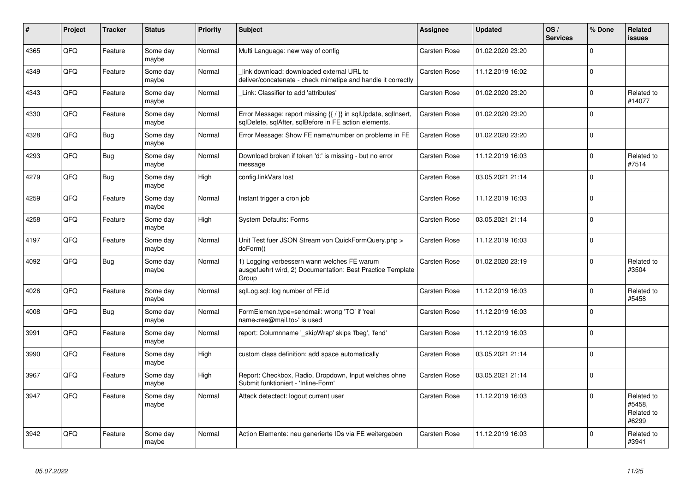| #    | Project | <b>Tracker</b> | <b>Status</b>     | <b>Priority</b> | <b>Subject</b>                                                                                                          | Assignee            | <b>Updated</b>   | OS/<br><b>Services</b> | % Done      | <b>Related</b><br><b>issues</b>             |
|------|---------|----------------|-------------------|-----------------|-------------------------------------------------------------------------------------------------------------------------|---------------------|------------------|------------------------|-------------|---------------------------------------------|
| 4365 | QFQ     | Feature        | Some day<br>maybe | Normal          | Multi Language: new way of config                                                                                       | <b>Carsten Rose</b> | 01.02.2020 23:20 |                        | $\Omega$    |                                             |
| 4349 | QFQ     | Feature        | Some day<br>maybe | Normal          | link download: downloaded external URL to<br>deliver/concatenate - check mimetipe and handle it correctly               | Carsten Rose        | 11.12.2019 16:02 |                        | $\Omega$    |                                             |
| 4343 | QFQ     | Feature        | Some day<br>maybe | Normal          | Link: Classifier to add 'attributes'                                                                                    | Carsten Rose        | 01.02.2020 23:20 |                        | $\Omega$    | Related to<br>#14077                        |
| 4330 | QFQ     | Feature        | Some day<br>maybe | Normal          | Error Message: report missing {{ / }} in sqlUpdate, sqlInsert,<br>sqlDelete, sqlAfter, sqlBefore in FE action elements. | <b>Carsten Rose</b> | 01.02.2020 23:20 |                        | $\Omega$    |                                             |
| 4328 | QFQ     | Bug            | Some day<br>maybe | Normal          | Error Message: Show FE name/number on problems in FE                                                                    | <b>Carsten Rose</b> | 01.02.2020 23:20 |                        | $\Omega$    |                                             |
| 4293 | QFQ     | Bug            | Some day<br>maybe | Normal          | Download broken if token 'd:' is missing - but no error<br>message                                                      | Carsten Rose        | 11.12.2019 16:03 |                        | $\Omega$    | Related to<br>#7514                         |
| 4279 | QFQ     | <b>Bug</b>     | Some day<br>maybe | High            | config.linkVars lost                                                                                                    | Carsten Rose        | 03.05.2021 21:14 |                        | $\Omega$    |                                             |
| 4259 | QFQ     | Feature        | Some day<br>maybe | Normal          | Instant trigger a cron job                                                                                              | Carsten Rose        | 11.12.2019 16:03 |                        | $\Omega$    |                                             |
| 4258 | QFQ     | Feature        | Some day<br>maybe | High            | <b>System Defaults: Forms</b>                                                                                           | Carsten Rose        | 03.05.2021 21:14 |                        | $\mathbf 0$ |                                             |
| 4197 | QFQ     | Feature        | Some day<br>maybe | Normal          | Unit Test fuer JSON Stream von QuickFormQuery.php ><br>doForm()                                                         | Carsten Rose        | 11.12.2019 16:03 |                        | $\Omega$    |                                             |
| 4092 | QFQ     | Bug            | Some day<br>maybe | Normal          | 1) Logging verbessern wann welches FE warum<br>ausgefuehrt wird, 2) Documentation: Best Practice Template<br>Group      | Carsten Rose        | 01.02.2020 23:19 |                        | $\Omega$    | Related to<br>#3504                         |
| 4026 | QFQ     | Feature        | Some day<br>maybe | Normal          | sqlLog.sql: log number of FE.id                                                                                         | Carsten Rose        | 11.12.2019 16:03 |                        | $\Omega$    | Related to<br>#5458                         |
| 4008 | QFQ     | Bug            | Some day<br>maybe | Normal          | FormElemen.type=sendmail: wrong 'TO' if 'real<br>name <rea@mail.to>' is used</rea@mail.to>                              | Carsten Rose        | 11.12.2019 16:03 |                        | $\Omega$    |                                             |
| 3991 | QFQ     | Feature        | Some day<br>maybe | Normal          | report: Columnname '_skipWrap' skips 'fbeg', 'fend'                                                                     | Carsten Rose        | 11.12.2019 16:03 |                        | $\Omega$    |                                             |
| 3990 | QFQ     | Feature        | Some day<br>maybe | High            | custom class definition: add space automatically                                                                        | Carsten Rose        | 03.05.2021 21:14 |                        | $\Omega$    |                                             |
| 3967 | QFQ     | Feature        | Some day<br>maybe | High            | Report: Checkbox, Radio, Dropdown, Input welches ohne<br>Submit funktioniert - 'Inline-Form'                            | <b>Carsten Rose</b> | 03.05.2021 21:14 |                        | $\Omega$    |                                             |
| 3947 | QFQ     | Feature        | Some day<br>maybe | Normal          | Attack detectect: logout current user                                                                                   | Carsten Rose        | 11.12.2019 16:03 |                        | $\Omega$    | Related to<br>#5458,<br>Related to<br>#6299 |
| 3942 | QFQ     | Feature        | Some day<br>maybe | Normal          | Action Elemente: neu generierte IDs via FE weitergeben                                                                  | Carsten Rose        | 11.12.2019 16:03 |                        | $\Omega$    | Related to<br>#3941                         |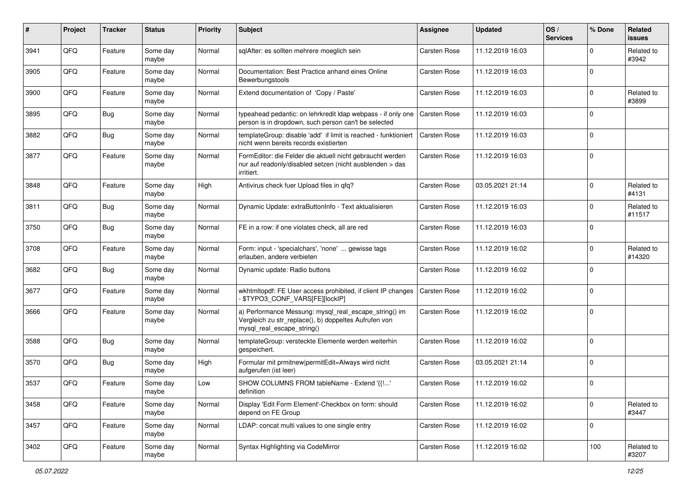| $\pmb{\#}$ | Project | <b>Tracker</b> | <b>Status</b>     | <b>Priority</b> | Subject                                                                                                                                      | <b>Assignee</b>     | <b>Updated</b>   | OS/<br><b>Services</b> | % Done      | Related<br>issues    |
|------------|---------|----------------|-------------------|-----------------|----------------------------------------------------------------------------------------------------------------------------------------------|---------------------|------------------|------------------------|-------------|----------------------|
| 3941       | QFQ     | Feature        | Some day<br>maybe | Normal          | sqlAfter: es sollten mehrere moeglich sein                                                                                                   | <b>Carsten Rose</b> | 11.12.2019 16:03 |                        | 0           | Related to<br>#3942  |
| 3905       | QFQ     | Feature        | Some day<br>maybe | Normal          | Documentation: Best Practice anhand eines Online<br>Bewerbungstools                                                                          | <b>Carsten Rose</b> | 11.12.2019 16:03 |                        | $\mathbf 0$ |                      |
| 3900       | QFQ     | Feature        | Some day<br>maybe | Normal          | Extend documentation of 'Copy / Paste'                                                                                                       | <b>Carsten Rose</b> | 11.12.2019 16:03 |                        | 0           | Related to<br>#3899  |
| 3895       | QFQ     | <b>Bug</b>     | Some day<br>maybe | Normal          | typeahead pedantic: on lehrkredit Idap webpass - if only one<br>person is in dropdown, such person can't be selected                         | <b>Carsten Rose</b> | 11.12.2019 16:03 |                        | $\mathbf 0$ |                      |
| 3882       | QFQ     | Bug            | Some day<br>maybe | Normal          | templateGroup: disable 'add' if limit is reached - funktioniert<br>nicht wenn bereits records existierten                                    | <b>Carsten Rose</b> | 11.12.2019 16:03 |                        | $\mathbf 0$ |                      |
| 3877       | QFQ     | Feature        | Some day<br>maybe | Normal          | FormEditor: die Felder die aktuell nicht gebraucht werden<br>nur auf readonly/disabled setzen (nicht ausblenden > das<br>irritiert.          | <b>Carsten Rose</b> | 11.12.2019 16:03 |                        | $\Omega$    |                      |
| 3848       | QFQ     | Feature        | Some day<br>maybe | High            | Antivirus check fuer Upload files in qfq?                                                                                                    | <b>Carsten Rose</b> | 03.05.2021 21:14 |                        | $\Omega$    | Related to<br>#4131  |
| 3811       | QFQ     | Bug            | Some day<br>maybe | Normal          | Dynamic Update: extraButtonInfo - Text aktualisieren                                                                                         | <b>Carsten Rose</b> | 11.12.2019 16:03 |                        | 0           | Related to<br>#11517 |
| 3750       | QFQ     | Bug            | Some day<br>maybe | Normal          | FE in a row: if one violates check, all are red                                                                                              | <b>Carsten Rose</b> | 11.12.2019 16:03 |                        | $\Omega$    |                      |
| 3708       | QFQ     | Feature        | Some day<br>maybe | Normal          | Form: input - 'specialchars', 'none'  gewisse tags<br>erlauben, andere verbieten                                                             | <b>Carsten Rose</b> | 11.12.2019 16:02 |                        | $\Omega$    | Related to<br>#14320 |
| 3682       | QFQ     | Bug            | Some day<br>maybe | Normal          | Dynamic update: Radio buttons                                                                                                                | <b>Carsten Rose</b> | 11.12.2019 16:02 |                        | $\Omega$    |                      |
| 3677       | QFQ     | Feature        | Some day<br>maybe | Normal          | wkhtmltopdf: FE User access prohibited, if client IP changes<br>\$TYPO3_CONF_VARS[FE][lockIP]                                                | <b>Carsten Rose</b> | 11.12.2019 16:02 |                        | $\Omega$    |                      |
| 3666       | QFQ     | Feature        | Some day<br>maybe | Normal          | a) Performance Messung: mysql_real_escape_string() im<br>Vergleich zu str_replace(), b) doppeltes Aufrufen von<br>mysql_real_escape_string() | <b>Carsten Rose</b> | 11.12.2019 16:02 |                        | $\Omega$    |                      |
| 3588       | QFQ     | Bug            | Some day<br>maybe | Normal          | templateGroup: versteckte Elemente werden weiterhin<br>gespeichert.                                                                          | <b>Carsten Rose</b> | 11.12.2019 16:02 |                        | $\Omega$    |                      |
| 3570       | QFQ     | <b>Bug</b>     | Some day<br>maybe | High            | Formular mit prmitnew permitEdit=Always wird nicht<br>aufgerufen (ist leer)                                                                  | Carsten Rose        | 03.05.2021 21:14 |                        | $\Omega$    |                      |
| 3537       | QFQ     | Feature        | Some day<br>maybe | Low             | SHOW COLUMNS FROM tableName - Extend '{{!'<br>definition                                                                                     | Carsten Rose        | 11.12.2019 16:02 |                        | $\Omega$    |                      |
| 3458       | QFQ     | Feature        | Some day<br>maybe | Normal          | Display 'Edit Form Element'-Checkbox on form: should<br>depend on FE Group                                                                   | <b>Carsten Rose</b> | 11.12.2019 16:02 |                        | $\mathbf 0$ | Related to<br>#3447  |
| 3457       | QFQ     | Feature        | Some day<br>maybe | Normal          | LDAP: concat multi values to one single entry                                                                                                | <b>Carsten Rose</b> | 11.12.2019 16:02 |                        | $\mathbf 0$ |                      |
| 3402       | QFG     | Feature        | Some day<br>maybe | Normal          | Syntax Highlighting via CodeMirror                                                                                                           | Carsten Rose        | 11.12.2019 16:02 |                        | 100         | Related to<br>#3207  |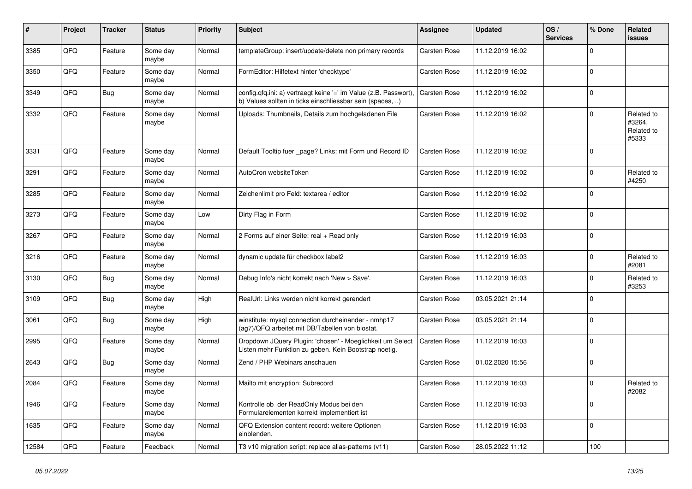| $\vert$ # | Project | <b>Tracker</b> | <b>Status</b>     | <b>Priority</b> | <b>Subject</b>                                                                                                                | Assignee            | <b>Updated</b>   | OS/<br><b>Services</b> | % Done      | Related<br><b>issues</b>                    |
|-----------|---------|----------------|-------------------|-----------------|-------------------------------------------------------------------------------------------------------------------------------|---------------------|------------------|------------------------|-------------|---------------------------------------------|
| 3385      | QFQ     | Feature        | Some day<br>maybe | Normal          | templateGroup: insert/update/delete non primary records                                                                       | <b>Carsten Rose</b> | 11.12.2019 16:02 |                        | $\Omega$    |                                             |
| 3350      | QFQ     | Feature        | Some day<br>maybe | Normal          | FormEditor: Hilfetext hinter 'checktype'                                                                                      | Carsten Rose        | 11.12.2019 16:02 |                        | $\Omega$    |                                             |
| 3349      | QFQ     | Bug            | Some day<br>maybe | Normal          | config.qfq.ini: a) vertraegt keine '=' im Value (z.B. Passwort),<br>b) Values sollten in ticks einschliessbar sein (spaces, ) | <b>Carsten Rose</b> | 11.12.2019 16:02 |                        | $\Omega$    |                                             |
| 3332      | QFQ     | Feature        | Some day<br>maybe | Normal          | Uploads: Thumbnails, Details zum hochgeladenen File                                                                           | Carsten Rose        | 11.12.2019 16:02 |                        | $\Omega$    | Related to<br>#3264,<br>Related to<br>#5333 |
| 3331      | QFQ     | Feature        | Some day<br>maybe | Normal          | Default Tooltip fuer page? Links: mit Form und Record ID                                                                      | <b>Carsten Rose</b> | 11.12.2019 16:02 |                        | $\Omega$    |                                             |
| 3291      | QFQ     | Feature        | Some day<br>maybe | Normal          | AutoCron websiteToken                                                                                                         | Carsten Rose        | 11.12.2019 16:02 |                        | $\Omega$    | Related to<br>#4250                         |
| 3285      | QFQ     | Feature        | Some day<br>maybe | Normal          | Zeichenlimit pro Feld: textarea / editor                                                                                      | Carsten Rose        | 11.12.2019 16:02 |                        | $\Omega$    |                                             |
| 3273      | QFQ     | Feature        | Some day<br>maybe | Low             | Dirty Flag in Form                                                                                                            | <b>Carsten Rose</b> | 11.12.2019 16:02 |                        | $\Omega$    |                                             |
| 3267      | QFQ     | Feature        | Some day<br>maybe | Normal          | 2 Forms auf einer Seite: real + Read only                                                                                     | Carsten Rose        | 11.12.2019 16:03 |                        | $\Omega$    |                                             |
| 3216      | QFQ     | Feature        | Some day<br>maybe | Normal          | dynamic update für checkbox label2                                                                                            | Carsten Rose        | 11.12.2019 16:03 |                        | $\Omega$    | Related to<br>#2081                         |
| 3130      | QFQ     | Bug            | Some day<br>maybe | Normal          | Debug Info's nicht korrekt nach 'New > Save'.                                                                                 | <b>Carsten Rose</b> | 11.12.2019 16:03 |                        | $\Omega$    | Related to<br>#3253                         |
| 3109      | QFQ     | Bug            | Some day<br>maybe | High            | RealUrl: Links werden nicht korrekt gerendert                                                                                 | Carsten Rose        | 03.05.2021 21:14 |                        | $\Omega$    |                                             |
| 3061      | QFQ     | Bug            | Some day<br>maybe | High            | winstitute: mysql connection durcheinander - nmhp17<br>(ag7)/QFQ arbeitet mit DB/Tabellen von biostat.                        | <b>Carsten Rose</b> | 03.05.2021 21:14 |                        | $\mathbf 0$ |                                             |
| 2995      | QFQ     | Feature        | Some day<br>maybe | Normal          | Dropdown JQuery Plugin: 'chosen' - Moeglichkeit um Select<br>Listen mehr Funktion zu geben. Kein Bootstrap noetig.            | Carsten Rose        | 11.12.2019 16:03 |                        | $\Omega$    |                                             |
| 2643      | QFQ     | <b>Bug</b>     | Some day<br>maybe | Normal          | Zend / PHP Webinars anschauen                                                                                                 | Carsten Rose        | 01.02.2020 15:56 |                        | $\Omega$    |                                             |
| 2084      | QFQ     | Feature        | Some day<br>maybe | Normal          | Mailto mit encryption: Subrecord                                                                                              | <b>Carsten Rose</b> | 11.12.2019 16:03 |                        | $\Omega$    | Related to<br>#2082                         |
| 1946      | QFQ     | Feature        | Some day<br>maybe | Normal          | Kontrolle ob der ReadOnly Modus bei den<br>Formularelementen korrekt implementiert ist                                        | Carsten Rose        | 11.12.2019 16:03 |                        | $\Omega$    |                                             |
| 1635      | QFQ     | Feature        | Some day<br>maybe | Normal          | QFQ Extension content record: weitere Optionen<br>einblenden.                                                                 | <b>Carsten Rose</b> | 11.12.2019 16:03 |                        | $\Omega$    |                                             |
| 12584     | QFQ     | Feature        | Feedback          | Normal          | T3 v10 migration script: replace alias-patterns (v11)                                                                         | <b>Carsten Rose</b> | 28.05.2022 11:12 |                        | 100         |                                             |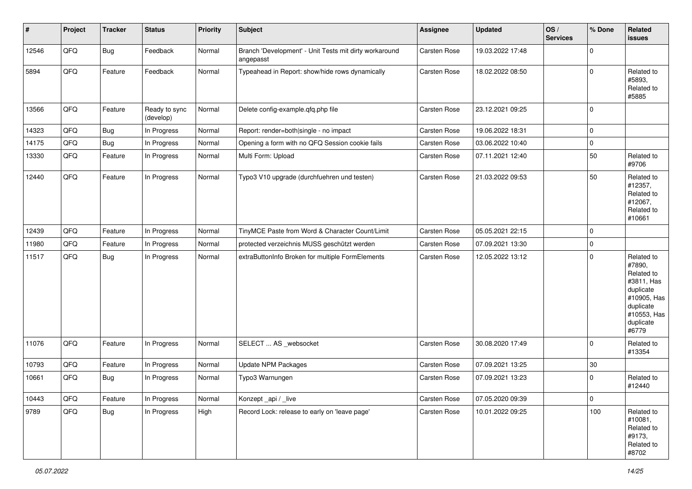| $\vert$ # | Project | <b>Tracker</b> | <b>Status</b>              | <b>Priority</b> | <b>Subject</b>                                                      | <b>Assignee</b>     | Updated          | OS/<br><b>Services</b> | % Done      | Related<br><b>issues</b>                                                                                                       |
|-----------|---------|----------------|----------------------------|-----------------|---------------------------------------------------------------------|---------------------|------------------|------------------------|-------------|--------------------------------------------------------------------------------------------------------------------------------|
| 12546     | QFQ     | <b>Bug</b>     | Feedback                   | Normal          | Branch 'Development' - Unit Tests mit dirty workaround<br>angepasst | Carsten Rose        | 19.03.2022 17:48 |                        | $\Omega$    |                                                                                                                                |
| 5894      | QFQ     | Feature        | Feedback                   | Normal          | Typeahead in Report: show/hide rows dynamically                     | Carsten Rose        | 18.02.2022 08:50 |                        | $\mathbf 0$ | Related to<br>#5893,<br>Related to<br>#5885                                                                                    |
| 13566     | QFQ     | Feature        | Ready to sync<br>(develop) | Normal          | Delete config-example.qfq.php file                                  | Carsten Rose        | 23.12.2021 09:25 |                        | $\mathbf 0$ |                                                                                                                                |
| 14323     | QFQ     | Bug            | In Progress                | Normal          | Report: render=both single - no impact                              | <b>Carsten Rose</b> | 19.06.2022 18:31 |                        | $\mathbf 0$ |                                                                                                                                |
| 14175     | QFQ     | Bug            | In Progress                | Normal          | Opening a form with no QFQ Session cookie fails                     | Carsten Rose        | 03.06.2022 10:40 |                        | $\mathbf 0$ |                                                                                                                                |
| 13330     | QFQ     | Feature        | In Progress                | Normal          | Multi Form: Upload                                                  | Carsten Rose        | 07.11.2021 12:40 |                        | 50          | Related to<br>#9706                                                                                                            |
| 12440     | QFQ     | Feature        | In Progress                | Normal          | Typo3 V10 upgrade (durchfuehren und testen)                         | Carsten Rose        | 21.03.2022 09:53 |                        | 50          | Related to<br>#12357,<br>Related to<br>#12067,<br>Related to<br>#10661                                                         |
| 12439     | QFQ     | Feature        | In Progress                | Normal          | TinyMCE Paste from Word & Character Count/Limit                     | <b>Carsten Rose</b> | 05.05.2021 22:15 |                        | $\mathbf 0$ |                                                                                                                                |
| 11980     | QFQ     | Feature        | In Progress                | Normal          | protected verzeichnis MUSS geschützt werden                         | Carsten Rose        | 07.09.2021 13:30 |                        | $\mathbf 0$ |                                                                                                                                |
| 11517     | QFQ     | <b>Bug</b>     | In Progress                | Normal          | extraButtonInfo Broken for multiple FormElements                    | <b>Carsten Rose</b> | 12.05.2022 13:12 |                        | $\mathbf 0$ | Related to<br>#7890,<br>Related to<br>#3811, Has<br>duplicate<br>#10905, Has<br>duplicate<br>#10553, Has<br>duplicate<br>#6779 |
| 11076     | QFQ     | Feature        | In Progress                | Normal          | SELECT  AS _websocket                                               | Carsten Rose        | 30.08.2020 17:49 |                        | $\Omega$    | Related to<br>#13354                                                                                                           |
| 10793     | QFQ     | Feature        | In Progress                | Normal          | <b>Update NPM Packages</b>                                          | Carsten Rose        | 07.09.2021 13:25 |                        | 30          |                                                                                                                                |
| 10661     | QFQ     | <b>Bug</b>     | In Progress                | Normal          | Typo3 Warnungen                                                     | Carsten Rose        | 07.09.2021 13:23 |                        | $\mathbf 0$ | Related to<br>#12440                                                                                                           |
| 10443     | QFQ     | Feature        | In Progress                | Normal          | Konzept_api / _live                                                 | Carsten Rose        | 07.05.2020 09:39 |                        | 0           |                                                                                                                                |
| 9789      | QFQ     | <b>Bug</b>     | In Progress                | High            | Record Lock: release to early on 'leave page'                       | Carsten Rose        | 10.01.2022 09:25 |                        | 100         | Related to<br>#10081,<br>Related to<br>#9173,<br>Related to<br>#8702                                                           |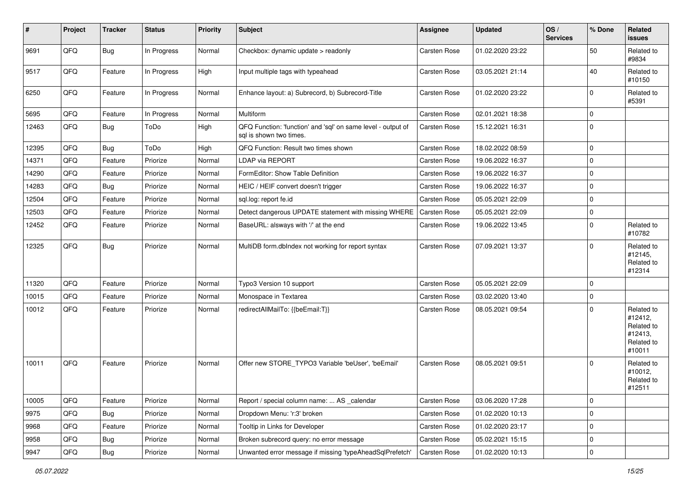| #     | Project | <b>Tracker</b> | <b>Status</b> | <b>Priority</b> | Subject                                                                                 | <b>Assignee</b>     | <b>Updated</b>   | OS/<br><b>Services</b> | % Done      | Related<br>issues                                                      |
|-------|---------|----------------|---------------|-----------------|-----------------------------------------------------------------------------------------|---------------------|------------------|------------------------|-------------|------------------------------------------------------------------------|
| 9691  | QFQ     | <b>Bug</b>     | In Progress   | Normal          | Checkbox: dynamic update > readonly                                                     | Carsten Rose        | 01.02.2020 23:22 |                        | 50          | Related to<br>#9834                                                    |
| 9517  | QFQ     | Feature        | In Progress   | High            | Input multiple tags with typeahead                                                      | Carsten Rose        | 03.05.2021 21:14 |                        | 40          | Related to<br>#10150                                                   |
| 6250  | QFQ     | Feature        | In Progress   | Normal          | Enhance layout: a) Subrecord, b) Subrecord-Title                                        | Carsten Rose        | 01.02.2020 23:22 |                        | 0           | Related to<br>#5391                                                    |
| 5695  | QFQ     | Feature        | In Progress   | Normal          | Multiform                                                                               | <b>Carsten Rose</b> | 02.01.2021 18:38 |                        | $\mathbf 0$ |                                                                        |
| 12463 | QFQ     | Bug            | ToDo          | High            | QFQ Function: 'function' and 'sql' on same level - output of<br>sal is shown two times. | Carsten Rose        | 15.12.2021 16:31 |                        | $\Omega$    |                                                                        |
| 12395 | QFQ     | Bug            | ToDo          | High            | QFQ Function: Result two times shown                                                    | Carsten Rose        | 18.02.2022 08:59 |                        | $\Omega$    |                                                                        |
| 14371 | QFQ     | Feature        | Priorize      | Normal          | LDAP via REPORT                                                                         | Carsten Rose        | 19.06.2022 16:37 |                        | $\Omega$    |                                                                        |
| 14290 | QFQ     | Feature        | Priorize      | Normal          | FormEditor: Show Table Definition                                                       | Carsten Rose        | 19.06.2022 16:37 |                        | $\Omega$    |                                                                        |
| 14283 | QFQ     | <b>Bug</b>     | Priorize      | Normal          | HEIC / HEIF convert doesn't trigger                                                     | <b>Carsten Rose</b> | 19.06.2022 16:37 |                        | 0           |                                                                        |
| 12504 | QFQ     | Feature        | Priorize      | Normal          | sql.log: report fe.id                                                                   | <b>Carsten Rose</b> | 05.05.2021 22:09 |                        | $\Omega$    |                                                                        |
| 12503 | QFQ     | Feature        | Priorize      | Normal          | Detect dangerous UPDATE statement with missing WHERE                                    | Carsten Rose        | 05.05.2021 22:09 |                        | $\mathbf 0$ |                                                                        |
| 12452 | QFQ     | Feature        | Priorize      | Normal          | BaseURL: alsways with '/' at the end                                                    | Carsten Rose        | 19.06.2022 13:45 |                        | $\Omega$    | Related to<br>#10782                                                   |
| 12325 | QFQ     | <b>Bug</b>     | Priorize      | Normal          | MultiDB form.dblndex not working for report syntax                                      | <b>Carsten Rose</b> | 07.09.2021 13:37 |                        | $\Omega$    | Related to<br>#12145,<br>Related to<br>#12314                          |
| 11320 | QFQ     | Feature        | Priorize      | Normal          | Typo3 Version 10 support                                                                | Carsten Rose        | 05.05.2021 22:09 |                        | $\Omega$    |                                                                        |
| 10015 | QFQ     | Feature        | Priorize      | Normal          | Monospace in Textarea                                                                   | <b>Carsten Rose</b> | 03.02.2020 13:40 |                        | 0           |                                                                        |
| 10012 | QFQ     | Feature        | Priorize      | Normal          | redirectAllMailTo: {{beEmail:T}}                                                        | Carsten Rose        | 08.05.2021 09:54 |                        | 0           | Related to<br>#12412,<br>Related to<br>#12413,<br>Related to<br>#10011 |
| 10011 | QFQ     | Feature        | Priorize      | Normal          | Offer new STORE_TYPO3 Variable 'beUser', 'beEmail'                                      | <b>Carsten Rose</b> | 08.05.2021 09:51 |                        | $\Omega$    | Related to<br>#10012,<br>Related to<br>#12511                          |
| 10005 | QFQ     | Feature        | Priorize      | Normal          | Report / special column name:  AS _calendar                                             | Carsten Rose        | 03.06.2020 17:28 |                        | $\mathbf 0$ |                                                                        |
| 9975  | QFQ     | <b>Bug</b>     | Priorize      | Normal          | Dropdown Menu: 'r:3' broken                                                             | Carsten Rose        | 01.02.2020 10:13 |                        | 0           |                                                                        |
| 9968  | QFQ     | Feature        | Priorize      | Normal          | Tooltip in Links for Developer                                                          | <b>Carsten Rose</b> | 01.02.2020 23:17 |                        | $\mathbf 0$ |                                                                        |
| 9958  | QFQ     | <b>Bug</b>     | Priorize      | Normal          | Broken subrecord query: no error message                                                | Carsten Rose        | 05.02.2021 15:15 |                        | 0           |                                                                        |
| 9947  | QFG     | Bug            | Priorize      | Normal          | Unwanted error message if missing 'typeAheadSqlPrefetch'                                | <b>Carsten Rose</b> | 01.02.2020 10:13 |                        | 0           |                                                                        |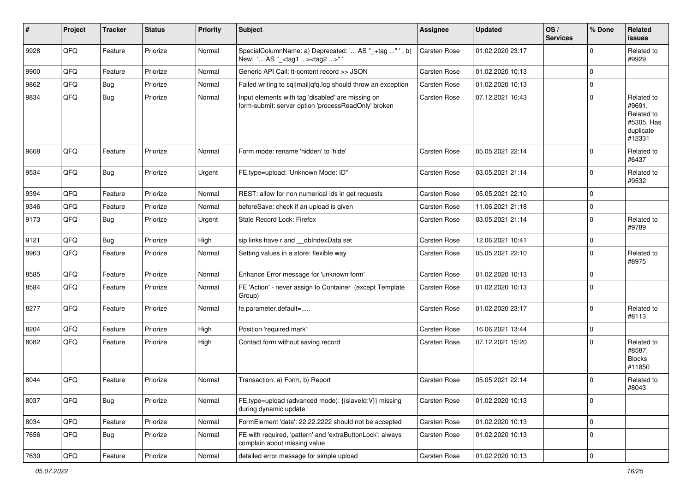| ∦    | Project | <b>Tracker</b> | <b>Status</b> | Priority | Subject                                                                                                  | Assignee            | <b>Updated</b>   | OS/<br><b>Services</b> | % Done      | Related<br><b>issues</b>                                                |
|------|---------|----------------|---------------|----------|----------------------------------------------------------------------------------------------------------|---------------------|------------------|------------------------|-------------|-------------------------------------------------------------------------|
| 9928 | QFQ     | Feature        | Priorize      | Normal   | SpecialColumnName: a) Deprecated: ' AS "_+tag " ', b)<br>New: ' AS "_ <tag1><tag2>"'</tag2></tag1>       | <b>Carsten Rose</b> | 01.02.2020 23:17 |                        | $\Omega$    | Related to<br>#9929                                                     |
| 9900 | QFQ     | Feature        | Priorize      | Normal   | Generic API Call: tt-content record >> JSON                                                              | Carsten Rose        | 01.02.2020 10:13 |                        | $\Omega$    |                                                                         |
| 9862 | QFQ     | Bug            | Priorize      | Normal   | Failed writing to sql mail qfq.log should throw an exception                                             | <b>Carsten Rose</b> | 01.02.2020 10:13 |                        | $\mathbf 0$ |                                                                         |
| 9834 | QFQ     | Bug            | Priorize      | Normal   | Input elements with tag 'disabled' are missing on<br>form-submit: server option 'processReadOnly' broken | Carsten Rose        | 07.12.2021 16:43 |                        | $\Omega$    | Related to<br>#9691,<br>Related to<br>#5305, Has<br>duplicate<br>#12331 |
| 9668 | QFQ     | Feature        | Priorize      | Normal   | Form.mode: rename 'hidden' to 'hide'                                                                     | Carsten Rose        | 05.05.2021 22:14 |                        | $\Omega$    | Related to<br>#6437                                                     |
| 9534 | QFQ     | Bug            | Priorize      | Urgent   | FE.type=upload: 'Unknown Mode: ID"                                                                       | Carsten Rose        | 03.05.2021 21:14 |                        | $\Omega$    | Related to<br>#9532                                                     |
| 9394 | QFQ     | Feature        | Priorize      | Normal   | REST: allow for non numerical ids in get requests                                                        | Carsten Rose        | 05.05.2021 22:10 |                        | $\Omega$    |                                                                         |
| 9346 | QFQ     | Feature        | Priorize      | Normal   | beforeSave: check if an upload is given                                                                  | Carsten Rose        | 11.06.2021 21:18 |                        | $\mathbf 0$ |                                                                         |
| 9173 | QFQ     | <b>Bug</b>     | Priorize      | Urgent   | Stale Record Lock: Firefox                                                                               | Carsten Rose        | 03.05.2021 21:14 |                        | $\mathbf 0$ | Related to<br>#9789                                                     |
| 9121 | QFQ     | Bug            | Priorize      | High     | sip links have r and __dbIndexData set                                                                   | Carsten Rose        | 12.06.2021 10:41 |                        | $\mathbf 0$ |                                                                         |
| 8963 | QFQ     | Feature        | Priorize      | Normal   | Setting values in a store: flexible way                                                                  | Carsten Rose        | 05.05.2021 22:10 |                        | $\Omega$    | Related to<br>#8975                                                     |
| 8585 | QFQ     | Feature        | Priorize      | Normal   | Enhance Error message for 'unknown form'                                                                 | Carsten Rose        | 01.02.2020 10:13 |                        | $\Omega$    |                                                                         |
| 8584 | QFQ     | Feature        | Priorize      | Normal   | FE 'Action' - never assign to Container (except Template<br>Group)                                       | <b>Carsten Rose</b> | 01.02.2020 10:13 |                        | 0           |                                                                         |
| 8277 | QFQ     | Feature        | Priorize      | Normal   | fe.parameter.default=                                                                                    | Carsten Rose        | 01.02.2020 23:17 |                        | $\Omega$    | Related to<br>#8113                                                     |
| 8204 | QFQ     | Feature        | Priorize      | High     | Position 'required mark'                                                                                 | Carsten Rose        | 16.06.2021 13:44 |                        | $\mathbf 0$ |                                                                         |
| 8082 | QFQ     | Feature        | Priorize      | High     | Contact form without saving record                                                                       | Carsten Rose        | 07.12.2021 15:20 |                        | $\mathbf 0$ | Related to<br>#8587,<br><b>Blocks</b><br>#11850                         |
| 8044 | QFQ     | Feature        | Priorize      | Normal   | Transaction: a) Form, b) Report                                                                          | Carsten Rose        | 05.05.2021 22:14 |                        | $\Omega$    | Related to<br>#8043                                                     |
| 8037 | QFQ     | <b>Bug</b>     | Priorize      | Normal   | FE.type=upload (advanced mode): {{slaveld:V}} missing<br>during dynamic update                           | Carsten Rose        | 01.02.2020 10:13 |                        | $\mathbf 0$ |                                                                         |
| 8034 | QFQ     | Feature        | Priorize      | Normal   | FormElement 'data': 22.22.2222 should not be accepted                                                    | Carsten Rose        | 01.02.2020 10:13 |                        | $\mathbf 0$ |                                                                         |
| 7656 | QFQ     | Bug            | Priorize      | Normal   | FE with required, 'pattern' and 'extraButtonLock': always<br>complain about missing value                | Carsten Rose        | 01.02.2020 10:13 |                        | 0           |                                                                         |
| 7630 | QFQ     | Feature        | Priorize      | Normal   | detailed error message for simple upload                                                                 | Carsten Rose        | 01.02.2020 10:13 |                        | 0           |                                                                         |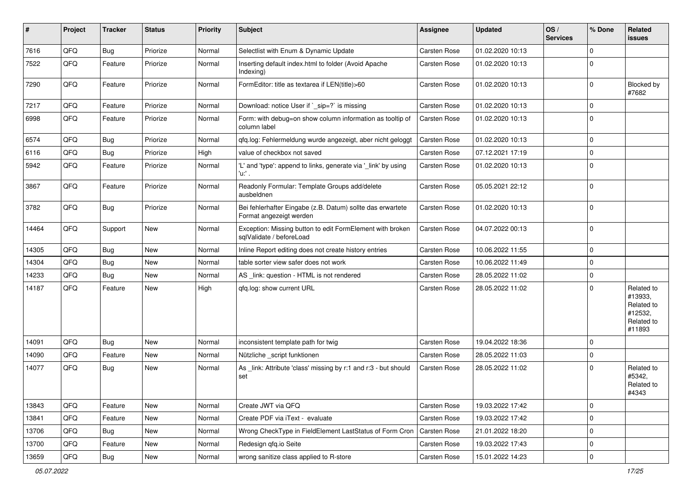| #     | Project | <b>Tracker</b> | <b>Status</b> | <b>Priority</b> | <b>Subject</b>                                                                        | <b>Assignee</b>     | <b>Updated</b>   | OS/<br><b>Services</b> | % Done              | Related<br>issues                                                      |
|-------|---------|----------------|---------------|-----------------|---------------------------------------------------------------------------------------|---------------------|------------------|------------------------|---------------------|------------------------------------------------------------------------|
| 7616  | QFQ     | Bug            | Priorize      | Normal          | Selectlist with Enum & Dynamic Update                                                 | <b>Carsten Rose</b> | 01.02.2020 10:13 |                        | 0                   |                                                                        |
| 7522  | QFQ     | Feature        | Priorize      | Normal          | Inserting default index.html to folder (Avoid Apache<br>Indexing)                     | <b>Carsten Rose</b> | 01.02.2020 10:13 |                        | $\mathbf 0$         |                                                                        |
| 7290  | QFQ     | Feature        | Priorize      | Normal          | FormEditor: title as textarea if LEN(title)>60                                        | Carsten Rose        | 01.02.2020 10:13 |                        | $\mathbf 0$         | Blocked by<br>#7682                                                    |
| 7217  | QFQ     | Feature        | Priorize      | Normal          | Download: notice User if `_sip=?` is missing                                          | Carsten Rose        | 01.02.2020 10:13 |                        | $\mathbf 0$         |                                                                        |
| 6998  | QFQ     | Feature        | Priorize      | Normal          | Form: with debug=on show column information as tooltip of<br>column label             | <b>Carsten Rose</b> | 01.02.2020 10:13 |                        | $\mathbf 0$         |                                                                        |
| 6574  | QFQ     | Bug            | Priorize      | Normal          | qfq.log: Fehlermeldung wurde angezeigt, aber nicht geloggt                            | <b>Carsten Rose</b> | 01.02.2020 10:13 |                        | $\mathbf 0$         |                                                                        |
| 6116  | QFQ     | Bug            | Priorize      | High            | value of checkbox not saved                                                           | <b>Carsten Rose</b> | 07.12.2021 17:19 |                        | $\mathbf 0$         |                                                                        |
| 5942  | QFQ     | Feature        | Priorize      | Normal          | 'L' and 'type': append to links, generate via '_link' by using<br>'u:' .              | Carsten Rose        | 01.02.2020 10:13 |                        | 0                   |                                                                        |
| 3867  | QFQ     | Feature        | Priorize      | Normal          | Readonly Formular: Template Groups add/delete<br>ausbeldnen                           | Carsten Rose        | 05.05.2021 22:12 |                        | $\Omega$            |                                                                        |
| 3782  | QFQ     | Bug            | Priorize      | Normal          | Bei fehlerhafter Eingabe (z.B. Datum) sollte das erwartete<br>Format angezeigt werden | <b>Carsten Rose</b> | 01.02.2020 10:13 |                        | $\mathbf 0$         |                                                                        |
| 14464 | QFQ     | Support        | New           | Normal          | Exception: Missing button to edit FormElement with broken<br>sqlValidate / beforeLoad | <b>Carsten Rose</b> | 04.07.2022 00:13 |                        | $\mathbf 0$         |                                                                        |
| 14305 | QFQ     | Bug            | New           | Normal          | Inline Report editing does not create history entries                                 | <b>Carsten Rose</b> | 10.06.2022 11:55 |                        | $\mathbf 0$         |                                                                        |
| 14304 | QFQ     | Bug            | <b>New</b>    | Normal          | table sorter view safer does not work                                                 | <b>Carsten Rose</b> | 10.06.2022 11:49 |                        | 0                   |                                                                        |
| 14233 | QFQ     | Bug            | New           | Normal          | AS link: question - HTML is not rendered                                              | <b>Carsten Rose</b> | 28.05.2022 11:02 |                        | $\mathbf{0}$        |                                                                        |
| 14187 | QFQ     | Feature        | New           | High            | gfg.log: show current URL                                                             | <b>Carsten Rose</b> | 28.05.2022 11:02 |                        | 0                   | Related to<br>#13933,<br>Related to<br>#12532,<br>Related to<br>#11893 |
| 14091 | QFQ     | Bug            | New           | Normal          | inconsistent template path for twig                                                   | <b>Carsten Rose</b> | 19.04.2022 18:36 |                        | $\mathbf 0$         |                                                                        |
| 14090 | QFQ     | Feature        | New           | Normal          | Nützliche _script funktionen                                                          | <b>Carsten Rose</b> | 28.05.2022 11:03 |                        | $\mathbf 0$         |                                                                        |
| 14077 | QFQ     | Bug            | New           | Normal          | As _link: Attribute 'class' missing by r:1 and r:3 - but should<br>set                | <b>Carsten Rose</b> | 28.05.2022 11:02 |                        | 0                   | Related to<br>#5342,<br>Related to<br>#4343                            |
| 13843 | QFQ     | Feature        | New           | Normal          | Create JWT via QFQ                                                                    | Carsten Rose        | 19.03.2022 17:42 |                        | $\mathbf 0$         |                                                                        |
| 13841 | QFQ     | Feature        | New           | Normal          | Create PDF via iText - evaluate                                                       | Carsten Rose        | 19.03.2022 17:42 |                        | $\mathbf 0$         |                                                                        |
| 13706 | QFQ     | Bug            | New           | Normal          | Wrong CheckType in FieldElement LastStatus of Form Cron                               | Carsten Rose        | 21.01.2022 18:20 |                        | $\mathbf 0$         |                                                                        |
| 13700 | QFQ     | Feature        | New           | Normal          | Redesign qfq.io Seite                                                                 | Carsten Rose        | 19.03.2022 17:43 |                        | 0                   |                                                                        |
| 13659 | QFQ     | Bug            | New           | Normal          | wrong sanitize class applied to R-store                                               | Carsten Rose        | 15.01.2022 14:23 |                        | $\mathsf{O}\xspace$ |                                                                        |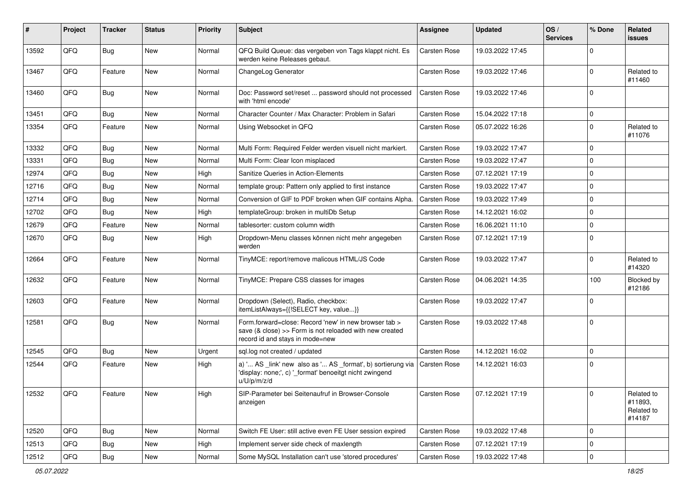| #     | Project | <b>Tracker</b> | <b>Status</b> | <b>Priority</b> | <b>Subject</b>                                                                                                                                      | <b>Assignee</b>     | <b>Updated</b>   | OS/<br><b>Services</b> | % Done         | Related<br>issues                             |
|-------|---------|----------------|---------------|-----------------|-----------------------------------------------------------------------------------------------------------------------------------------------------|---------------------|------------------|------------------------|----------------|-----------------------------------------------|
| 13592 | QFQ     | <b>Bug</b>     | New           | Normal          | QFQ Build Queue: das vergeben von Tags klappt nicht. Es<br>werden keine Releases gebaut.                                                            | <b>Carsten Rose</b> | 19.03.2022 17:45 |                        | $\Omega$       |                                               |
| 13467 | QFQ     | Feature        | New           | Normal          | ChangeLog Generator                                                                                                                                 | <b>Carsten Rose</b> | 19.03.2022 17:46 |                        | $\Omega$       | Related to<br>#11460                          |
| 13460 | QFQ     | Bug            | New           | Normal          | Doc: Password set/reset  password should not processed<br>with 'html encode'                                                                        | <b>Carsten Rose</b> | 19.03.2022 17:46 |                        | $\Omega$       |                                               |
| 13451 | QFQ     | Bug            | New           | Normal          | Character Counter / Max Character: Problem in Safari                                                                                                | <b>Carsten Rose</b> | 15.04.2022 17:18 |                        | $\mathbf 0$    |                                               |
| 13354 | QFQ     | Feature        | New           | Normal          | Using Websocket in QFQ                                                                                                                              | <b>Carsten Rose</b> | 05.07.2022 16:26 |                        | $\Omega$       | Related to<br>#11076                          |
| 13332 | QFQ     | Bug            | New           | Normal          | Multi Form: Required Felder werden visuell nicht markiert.                                                                                          | <b>Carsten Rose</b> | 19.03.2022 17:47 |                        | $\Omega$       |                                               |
| 13331 | QFQ     | Bug            | New           | Normal          | Multi Form: Clear Icon misplaced                                                                                                                    | <b>Carsten Rose</b> | 19.03.2022 17:47 |                        | $\Omega$       |                                               |
| 12974 | QFQ     | Bug            | New           | High            | Sanitize Queries in Action-Elements                                                                                                                 | <b>Carsten Rose</b> | 07.12.2021 17:19 |                        | $\Omega$       |                                               |
| 12716 | QFQ     | Bug            | New           | Normal          | template group: Pattern only applied to first instance                                                                                              | <b>Carsten Rose</b> | 19.03.2022 17:47 |                        | $\mathbf 0$    |                                               |
| 12714 | QFQ     | Bug            | New           | Normal          | Conversion of GIF to PDF broken when GIF contains Alpha.                                                                                            | <b>Carsten Rose</b> | 19.03.2022 17:49 |                        | $\Omega$       |                                               |
| 12702 | QFQ     | Bug            | New           | High            | templateGroup: broken in multiDb Setup                                                                                                              | <b>Carsten Rose</b> | 14.12.2021 16:02 |                        | $\Omega$       |                                               |
| 12679 | QFQ     | Feature        | New           | Normal          | tablesorter: custom column width                                                                                                                    | <b>Carsten Rose</b> | 16.06.2021 11:10 |                        | $\Omega$       |                                               |
| 12670 | QFQ     | Bug            | <b>New</b>    | High            | Dropdown-Menu classes können nicht mehr angegeben<br>werden                                                                                         | <b>Carsten Rose</b> | 07.12.2021 17:19 |                        | $\Omega$       |                                               |
| 12664 | QFQ     | Feature        | New           | Normal          | TinyMCE: report/remove malicous HTML/JS Code                                                                                                        | <b>Carsten Rose</b> | 19.03.2022 17:47 |                        | $\Omega$       | Related to<br>#14320                          |
| 12632 | QFQ     | Feature        | New           | Normal          | TinyMCE: Prepare CSS classes for images                                                                                                             | <b>Carsten Rose</b> | 04.06.2021 14:35 |                        | 100            | Blocked by<br>#12186                          |
| 12603 | QFQ     | Feature        | New           | Normal          | Dropdown (Select), Radio, checkbox:<br>itemListAlways={{!SELECT key, value}}                                                                        | <b>Carsten Rose</b> | 19.03.2022 17:47 |                        | $\Omega$       |                                               |
| 12581 | QFQ     | Bug            | New           | Normal          | Form.forward=close: Record 'new' in new browser tab ><br>save (& close) >> Form is not reloaded with new created<br>record id and stays in mode=new | <b>Carsten Rose</b> | 19.03.2022 17:48 |                        | $\overline{0}$ |                                               |
| 12545 | QFQ     | Bug            | New           | Urgent          | sql.log not created / updated                                                                                                                       | <b>Carsten Rose</b> | 14.12.2021 16:02 |                        | $\Omega$       |                                               |
| 12544 | QFQ     | Feature        | New           | High            | a) ' AS _link' new also as ' AS _format', b) sortierung via<br>'display: none;', c) '_format' benoeitgt nicht zwingend<br>u/U/p/m/z/d               | <b>Carsten Rose</b> | 14.12.2021 16:03 |                        | 0 I            |                                               |
| 12532 | QFQ     | Feature        | New           | High            | SIP-Parameter bei Seitenaufruf in Browser-Console<br>anzeigen                                                                                       | Carsten Rose        | 07.12.2021 17:19 |                        | 0              | Related to<br>#11893,<br>Related to<br>#14187 |
| 12520 | QFQ     | <b>Bug</b>     | New           | Normal          | Switch FE User: still active even FE User session expired                                                                                           | Carsten Rose        | 19.03.2022 17:48 |                        | 0              |                                               |
| 12513 | QFQ     | <b>Bug</b>     | New           | High            | Implement server side check of maxlength                                                                                                            | <b>Carsten Rose</b> | 07.12.2021 17:19 |                        | 0              |                                               |
| 12512 | QFQ     | Bug            | New           | Normal          | Some MySQL Installation can't use 'stored procedures'                                                                                               | Carsten Rose        | 19.03.2022 17:48 |                        | $\mathbf 0$    |                                               |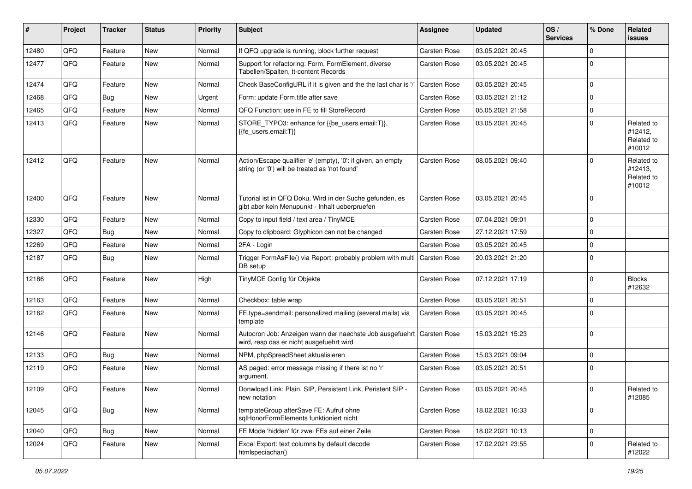| #     | Project | <b>Tracker</b> | <b>Status</b> | <b>Priority</b> | <b>Subject</b>                                                                                                      | <b>Assignee</b>     | <b>Updated</b>   | OS/<br><b>Services</b> | % Done      | Related<br><b>issues</b>                      |
|-------|---------|----------------|---------------|-----------------|---------------------------------------------------------------------------------------------------------------------|---------------------|------------------|------------------------|-------------|-----------------------------------------------|
| 12480 | QFQ     | Feature        | New           | Normal          | If QFQ upgrade is running, block further request                                                                    | Carsten Rose        | 03.05.2021 20:45 |                        | $\Omega$    |                                               |
| 12477 | QFQ     | Feature        | New           | Normal          | Support for refactoring: Form, FormElement, diverse<br>Tabellen/Spalten, tt-content Records                         | <b>Carsten Rose</b> | 03.05.2021 20:45 |                        | $\Omega$    |                                               |
| 12474 | QFQ     | Feature        | New           | Normal          | Check BaseConfigURL if it is given and the the last char is '/                                                      | <b>Carsten Rose</b> | 03.05.2021 20:45 |                        | $\mathbf 0$ |                                               |
| 12468 | QFQ     | Bug            | New           | Urgent          | Form: update Form.title after save                                                                                  | <b>Carsten Rose</b> | 03.05.2021 21:12 |                        | 0           |                                               |
| 12465 | QFQ     | Feature        | New           | Normal          | QFQ Function: use in FE to fill StoreRecord                                                                         | <b>Carsten Rose</b> | 05.05.2021 21:58 |                        | $\mathbf 0$ |                                               |
| 12413 | QFQ     | Feature        | New           | Normal          | STORE_TYPO3: enhance for {{be_users.email:T}},<br>{{fe users.email:T}}                                              | <b>Carsten Rose</b> | 03.05.2021 20:45 |                        | $\Omega$    | Related to<br>#12412,<br>Related to<br>#10012 |
| 12412 | QFQ     | Feature        | New           | Normal          | Action/Escape qualifier 'e' (empty), '0': if given, an empty<br>string (or '0') will be treated as 'not found'      | <b>Carsten Rose</b> | 08.05.2021 09:40 |                        |             | Related to<br>#12413,<br>Related to<br>#10012 |
| 12400 | QFQ     | Feature        | New           | Normal          | Tutorial ist in QFQ Doku, Wird in der Suche gefunden, es<br>gibt aber kein Menupunkt - Inhalt ueberpruefen          | <b>Carsten Rose</b> | 03.05.2021 20:45 |                        | $\mathbf 0$ |                                               |
| 12330 | QFQ     | Feature        | New           | Normal          | Copy to input field / text area / TinyMCE                                                                           | <b>Carsten Rose</b> | 07.04.2021 09:01 |                        | $\mathbf 0$ |                                               |
| 12327 | QFQ     | Bug            | New           | Normal          | Copy to clipboard: Glyphicon can not be changed                                                                     | <b>Carsten Rose</b> | 27.12.2021 17:59 |                        | $\Omega$    |                                               |
| 12269 | QFQ     | Feature        | New           | Normal          | 2FA - Login                                                                                                         | <b>Carsten Rose</b> | 03.05.2021 20:45 |                        | $\Omega$    |                                               |
| 12187 | QFQ     | Bug            | New           | Normal          | Trigger FormAsFile() via Report: probably problem with multi   Carsten Rose<br>DB setup                             |                     | 20.03.2021 21:20 |                        | $\mathbf 0$ |                                               |
| 12186 | QFQ     | Feature        | New           | High            | TinyMCE Config für Objekte                                                                                          | <b>Carsten Rose</b> | 07.12.2021 17:19 |                        | $\Omega$    | <b>Blocks</b><br>#12632                       |
| 12163 | QFQ     | Feature        | New           | Normal          | Checkbox: table wrap                                                                                                | <b>Carsten Rose</b> | 03.05.2021 20:51 |                        | $\mathbf 0$ |                                               |
| 12162 | QFQ     | Feature        | New           | Normal          | FE.type=sendmail: personalized mailing (several mails) via<br>template                                              | Carsten Rose        | 03.05.2021 20:45 |                        | $\Omega$    |                                               |
| 12146 | QFQ     | Feature        | New           | Normal          | Autocron Job: Anzeigen wann der naechste Job ausgefuehrt   Carsten Rose<br>wird, resp das er nicht ausgefuehrt wird |                     | 15.03.2021 15:23 |                        | $\Omega$    |                                               |
| 12133 | QFQ     | Bug            | <b>New</b>    | Normal          | NPM, phpSpreadSheet aktualisieren                                                                                   | <b>Carsten Rose</b> | 15.03.2021 09:04 |                        | $\mathbf 0$ |                                               |
| 12119 | QFQ     | Feature        | New           | Normal          | AS paged: error message missing if there ist no 'r'<br>argument.                                                    | <b>Carsten Rose</b> | 03.05.2021 20:51 |                        | $\Omega$    |                                               |
| 12109 | QFQ     | Feature        | New           | Normal          | Donwload Link: Plain, SIP, Persistent Link, Peristent SIP -<br>new notation                                         | Carsten Rose        | 03.05.2021 20:45 |                        | $\mathbf 0$ | Related to<br>#12085                          |
| 12045 | QFQ     | <b>Bug</b>     | New           | Normal          | templateGroup afterSave FE: Aufruf ohne<br>sglHonorFormElements funktioniert nicht                                  | <b>Carsten Rose</b> | 18.02.2021 16:33 |                        | $\mathbf 0$ |                                               |
| 12040 | QFQ     | <b>Bug</b>     | New           | Normal          | FE Mode 'hidden' für zwei FEs auf einer Zeile                                                                       | Carsten Rose        | 18.02.2021 10:13 |                        | $\mathbf 0$ |                                               |
| 12024 | QFQ     | Feature        | New           | Normal          | Excel Export: text columns by default decode<br>htmlspeciachar()                                                    | Carsten Rose        | 17.02.2021 23:55 |                        | $\mathbf 0$ | Related to<br>#12022                          |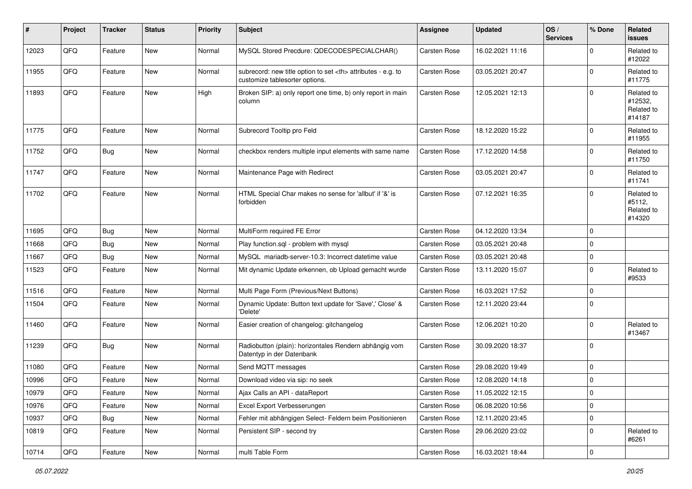| #     | Project | <b>Tracker</b> | <b>Status</b> | <b>Priority</b> | Subject                                                                                              | Assignee                                               | <b>Updated</b>   | OS/<br><b>Services</b> | % Done      | Related<br><b>issues</b>                      |                      |
|-------|---------|----------------|---------------|-----------------|------------------------------------------------------------------------------------------------------|--------------------------------------------------------|------------------|------------------------|-------------|-----------------------------------------------|----------------------|
| 12023 | QFQ     | Feature        | <b>New</b>    | Normal          | MySQL Stored Precdure: QDECODESPECIALCHAR()                                                          | Carsten Rose                                           | 16.02.2021 11:16 |                        | $\Omega$    | Related to<br>#12022                          |                      |
| 11955 | QFQ     | Feature        | <b>New</b>    | Normal          | subrecord: new title option to set <th> attributes - e.g. to<br/>customize tablesorter options.</th> | attributes - e.g. to<br>customize tablesorter options. | Carsten Rose     | 03.05.2021 20:47       |             | $\Omega$                                      | Related to<br>#11775 |
| 11893 | QFQ     | Feature        | <b>New</b>    | High            | Broken SIP: a) only report one time, b) only report in main<br>column                                | Carsten Rose                                           | 12.05.2021 12:13 |                        | $\Omega$    | Related to<br>#12532,<br>Related to<br>#14187 |                      |
| 11775 | QFQ     | Feature        | New           | Normal          | Subrecord Tooltip pro Feld                                                                           | Carsten Rose                                           | 18.12.2020 15:22 |                        | $\Omega$    | Related to<br>#11955                          |                      |
| 11752 | QFQ     | Bug            | <b>New</b>    | Normal          | checkbox renders multiple input elements with same name                                              | Carsten Rose                                           | 17.12.2020 14:58 |                        | $\Omega$    | Related to<br>#11750                          |                      |
| 11747 | QFQ     | Feature        | <b>New</b>    | Normal          | Maintenance Page with Redirect                                                                       | Carsten Rose                                           | 03.05.2021 20:47 |                        | $\Omega$    | Related to<br>#11741                          |                      |
| 11702 | QFQ     | Feature        | New           | Normal          | HTML Special Char makes no sense for 'allbut' if '&' is<br>forbidden                                 | Carsten Rose                                           | 07.12.2021 16:35 |                        | $\Omega$    | Related to<br>#5112,<br>Related to<br>#14320  |                      |
| 11695 | QFQ     | <b>Bug</b>     | New           | Normal          | MultiForm required FE Error                                                                          | Carsten Rose                                           | 04.12.2020 13:34 |                        | $\Omega$    |                                               |                      |
| 11668 | QFQ     | <b>Bug</b>     | <b>New</b>    | Normal          | Play function.sql - problem with mysql                                                               | Carsten Rose                                           | 03.05.2021 20:48 |                        | $\Omega$    |                                               |                      |
| 11667 | QFQ     | Bug            | <b>New</b>    | Normal          | MySQL mariadb-server-10.3: Incorrect datetime value                                                  | Carsten Rose                                           | 03.05.2021 20:48 |                        | $\mathbf 0$ |                                               |                      |
| 11523 | QFQ     | Feature        | <b>New</b>    | Normal          | Mit dynamic Update erkennen, ob Upload gemacht wurde                                                 | Carsten Rose                                           | 13.11.2020 15:07 |                        | $\Omega$    | Related to<br>#9533                           |                      |
| 11516 | QFQ     | Feature        | <b>New</b>    | Normal          | Multi Page Form (Previous/Next Buttons)                                                              | Carsten Rose                                           | 16.03.2021 17:52 |                        | $\Omega$    |                                               |                      |
| 11504 | QFQ     | Feature        | <b>New</b>    | Normal          | Dynamic Update: Button text update for 'Save',' Close' &<br>'Delete'                                 | Carsten Rose                                           | 12.11.2020 23:44 |                        | $\Omega$    |                                               |                      |
| 11460 | QFQ     | Feature        | New           | Normal          | Easier creation of changelog: gitchangelog                                                           | Carsten Rose                                           | 12.06.2021 10:20 |                        | $\Omega$    | Related to<br>#13467                          |                      |
| 11239 | QFQ     | Bug            | New           | Normal          | Radiobutton (plain): horizontales Rendern abhängig vom<br>Datentyp in der Datenbank                  | Carsten Rose                                           | 30.09.2020 18:37 |                        | $\Omega$    |                                               |                      |
| 11080 | QFQ     | Feature        | <b>New</b>    | Normal          | Send MQTT messages                                                                                   | Carsten Rose                                           | 29.08.2020 19:49 |                        | $\mathbf 0$ |                                               |                      |
| 10996 | QFQ     | Feature        | New           | Normal          | Download video via sip: no seek                                                                      | Carsten Rose                                           | 12.08.2020 14:18 |                        | $\Omega$    |                                               |                      |
| 10979 | QFG     | Feature        | New           | Normal          | Ajax Calls an API - dataReport                                                                       | Carsten Rose                                           | 11.05.2022 12:15 |                        | $\pmb{0}$   |                                               |                      |
| 10976 | QFQ     | Feature        | New           | Normal          | Excel Export Verbesserungen                                                                          | Carsten Rose                                           | 06.08.2020 10:56 |                        | $\mathbf 0$ |                                               |                      |
| 10937 | QFQ     | <b>Bug</b>     | New           | Normal          | Fehler mit abhängigen Select- Feldern beim Positionieren                                             | Carsten Rose                                           | 12.11.2020 23:45 |                        | 0           |                                               |                      |
| 10819 | QFQ     | Feature        | New           | Normal          | Persistent SIP - second try                                                                          | Carsten Rose                                           | 29.06.2020 23:02 |                        | 0           | Related to<br>#6261                           |                      |
| 10714 | QFG     | Feature        | New           | Normal          | multi Table Form                                                                                     | Carsten Rose                                           | 16.03.2021 18:44 |                        | 0           |                                               |                      |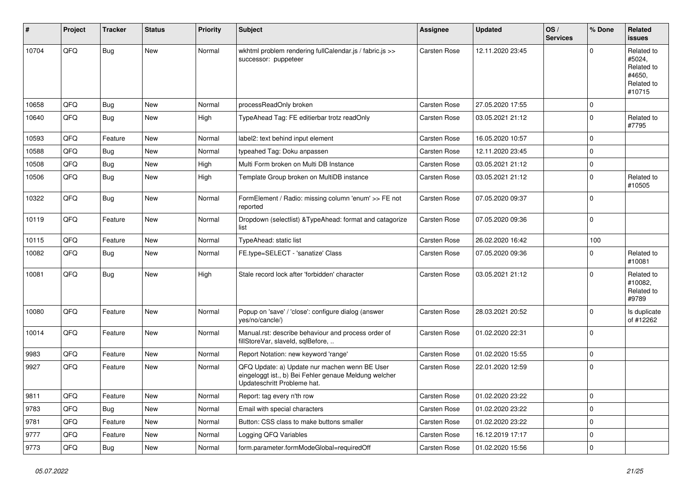| #     | Project | <b>Tracker</b> | <b>Status</b> | <b>Priority</b> | <b>Subject</b>                                                                                                                        | <b>Assignee</b>     | <b>Updated</b>   | OS/<br><b>Services</b> | % Done      | Related<br><b>issues</b>                                             |
|-------|---------|----------------|---------------|-----------------|---------------------------------------------------------------------------------------------------------------------------------------|---------------------|------------------|------------------------|-------------|----------------------------------------------------------------------|
| 10704 | QFQ     | <b>Bug</b>     | New           | Normal          | wkhtml problem rendering fullCalendar.js / fabric.js >><br>successor: puppeteer                                                       | <b>Carsten Rose</b> | 12.11.2020 23:45 |                        | $\Omega$    | Related to<br>#5024,<br>Related to<br>#4650,<br>Related to<br>#10715 |
| 10658 | QFQ     | Bug            | New           | Normal          | processReadOnly broken                                                                                                                | <b>Carsten Rose</b> | 27.05.2020 17:55 |                        | $\mathbf 0$ |                                                                      |
| 10640 | QFQ     | Bug            | New           | High            | TypeAhead Tag: FE editierbar trotz readOnly                                                                                           | Carsten Rose        | 03.05.2021 21:12 |                        | $\Omega$    | Related to<br>#7795                                                  |
| 10593 | QFQ     | Feature        | New           | Normal          | label2: text behind input element                                                                                                     | <b>Carsten Rose</b> | 16.05.2020 10:57 |                        | $\mathbf 0$ |                                                                      |
| 10588 | QFQ     | Bug            | New           | Normal          | typeahed Tag: Doku anpassen                                                                                                           | <b>Carsten Rose</b> | 12.11.2020 23:45 |                        | $\Omega$    |                                                                      |
| 10508 | QFQ     | Bug            | New           | High            | Multi Form broken on Multi DB Instance                                                                                                | <b>Carsten Rose</b> | 03.05.2021 21:12 |                        | 0           |                                                                      |
| 10506 | QFQ     | Bug            | New           | High            | Template Group broken on MultiDB instance                                                                                             | <b>Carsten Rose</b> | 03.05.2021 21:12 |                        | $\mathbf 0$ | Related to<br>#10505                                                 |
| 10322 | QFQ     | <b>Bug</b>     | New           | Normal          | FormElement / Radio: missing column 'enum' >> FE not<br>reported                                                                      | Carsten Rose        | 07.05.2020 09:37 |                        | $\Omega$    |                                                                      |
| 10119 | QFQ     | Feature        | New           | Normal          | Dropdown (selectlist) & TypeAhead: format and catagorize<br>list                                                                      | <b>Carsten Rose</b> | 07.05.2020 09:36 |                        | l 0         |                                                                      |
| 10115 | QFQ     | Feature        | New           | Normal          | TypeAhead: static list                                                                                                                | Carsten Rose        | 26.02.2020 16:42 |                        | 100         |                                                                      |
| 10082 | QFQ     | Bug            | New           | Normal          | FE.type=SELECT - 'sanatize' Class                                                                                                     | <b>Carsten Rose</b> | 07.05.2020 09:36 |                        | $\Omega$    | Related to<br>#10081                                                 |
| 10081 | QFQ     | Bug            | New           | High            | Stale record lock after 'forbidden' character                                                                                         | <b>Carsten Rose</b> | 03.05.2021 21:12 |                        | $\Omega$    | Related to<br>#10082,<br>Related to<br>#9789                         |
| 10080 | QFQ     | Feature        | New           | Normal          | Popup on 'save' / 'close': configure dialog (answer<br>yes/no/cancle/)                                                                | <b>Carsten Rose</b> | 28.03.2021 20:52 |                        | $\Omega$    | Is duplicate<br>of #12262                                            |
| 10014 | QFQ     | Feature        | New           | Normal          | Manual.rst: describe behaviour and process order of<br>fillStoreVar, slaveId, sqlBefore,                                              | Carsten Rose        | 01.02.2020 22:31 |                        | l O         |                                                                      |
| 9983  | QFQ     | Feature        | New           | Normal          | Report Notation: new keyword 'range'                                                                                                  | <b>Carsten Rose</b> | 01.02.2020 15:55 |                        | $\Omega$    |                                                                      |
| 9927  | QFQ     | Feature        | New           | Normal          | QFQ Update: a) Update nur machen wenn BE User<br>eingeloggt ist., b) Bei Fehler genaue Meldung welcher<br>Updateschritt Probleme hat. | Carsten Rose        | 22.01.2020 12:59 |                        | l 0         |                                                                      |
| 9811  | QFQ     | Feature        | New           | Normal          | Report: tag every n'th row                                                                                                            | Carsten Rose        | 01.02.2020 23:22 |                        | 0           |                                                                      |
| 9783  | QFQ     | Bug            | New           | Normal          | Email with special characters                                                                                                         | Carsten Rose        | 01.02.2020 23:22 |                        | 0           |                                                                      |
| 9781  | QFQ     | Feature        | New           | Normal          | Button: CSS class to make buttons smaller                                                                                             | Carsten Rose        | 01.02.2020 23:22 |                        | $\mathbf 0$ |                                                                      |
| 9777  | QFQ     | Feature        | New           | Normal          | Logging QFQ Variables                                                                                                                 | Carsten Rose        | 16.12.2019 17:17 |                        | $\mathbf 0$ |                                                                      |
| 9773  | QFQ     | Bug            | New           | Normal          | form.parameter.formModeGlobal=requiredOff                                                                                             | Carsten Rose        | 01.02.2020 15:56 |                        | $\mathbf 0$ |                                                                      |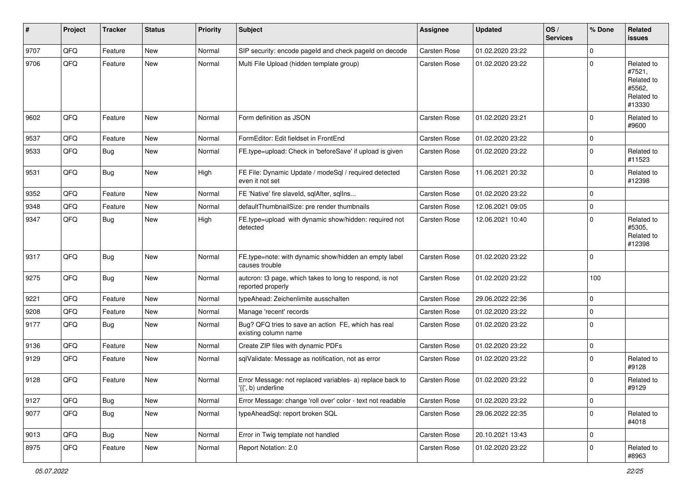| #    | Project | <b>Tracker</b> | <b>Status</b> | <b>Priority</b> | <b>Subject</b>                                                                  | <b>Assignee</b>     | <b>Updated</b>   | OS/<br><b>Services</b> | % Done      | Related<br><b>issues</b>                                             |
|------|---------|----------------|---------------|-----------------|---------------------------------------------------------------------------------|---------------------|------------------|------------------------|-------------|----------------------------------------------------------------------|
| 9707 | QFQ     | Feature        | <b>New</b>    | Normal          | SIP security: encode pageld and check pageld on decode                          | Carsten Rose        | 01.02.2020 23:22 |                        | $\Omega$    |                                                                      |
| 9706 | QFQ     | Feature        | <b>New</b>    | Normal          | Multi File Upload (hidden template group)                                       | Carsten Rose        | 01.02.2020 23:22 |                        | $\mathbf 0$ | Related to<br>#7521,<br>Related to<br>#5562,<br>Related to<br>#13330 |
| 9602 | QFQ     | Feature        | <b>New</b>    | Normal          | Form definition as JSON                                                         | Carsten Rose        | 01.02.2020 23:21 |                        | $\Omega$    | Related to<br>#9600                                                  |
| 9537 | QFQ     | Feature        | <b>New</b>    | Normal          | FormEditor: Edit fieldset in FrontEnd                                           | Carsten Rose        | 01.02.2020 23:22 |                        | 0           |                                                                      |
| 9533 | QFQ     | Bug            | <b>New</b>    | Normal          | FE.type=upload: Check in 'beforeSave' if upload is given                        | Carsten Rose        | 01.02.2020 23:22 |                        | $\Omega$    | Related to<br>#11523                                                 |
| 9531 | QFQ     | Bug            | New           | High            | FE File: Dynamic Update / modeSql / required detected<br>even it not set        | Carsten Rose        | 11.06.2021 20:32 |                        | $\mathbf 0$ | Related to<br>#12398                                                 |
| 9352 | QFQ     | Feature        | <b>New</b>    | Normal          | FE 'Native' fire slaveld, sqlAfter, sqlIns                                      | Carsten Rose        | 01.02.2020 23:22 |                        | $\mathbf 0$ |                                                                      |
| 9348 | QFQ     | Feature        | <b>New</b>    | Normal          | defaultThumbnailSize: pre render thumbnails                                     | Carsten Rose        | 12.06.2021 09:05 |                        | $\mathbf 0$ |                                                                      |
| 9347 | QFQ     | Bug            | New           | High            | FE.type=upload with dynamic show/hidden: required not<br>detected               | Carsten Rose        | 12.06.2021 10:40 |                        | $\Omega$    | Related to<br>#5305,<br>Related to<br>#12398                         |
| 9317 | QFQ     | Bug            | <b>New</b>    | Normal          | FE.type=note: with dynamic show/hidden an empty label<br>causes trouble         | Carsten Rose        | 01.02.2020 23:22 |                        | 0           |                                                                      |
| 9275 | QFQ     | Bug            | <b>New</b>    | Normal          | autcron: t3 page, which takes to long to respond, is not<br>reported properly   | Carsten Rose        | 01.02.2020 23:22 |                        | 100         |                                                                      |
| 9221 | QFQ     | Feature        | <b>New</b>    | Normal          | typeAhead: Zeichenlimite ausschalten                                            | Carsten Rose        | 29.06.2022 22:36 |                        | $\mathbf 0$ |                                                                      |
| 9208 | QFQ     | Feature        | <b>New</b>    | Normal          | Manage 'recent' records                                                         | Carsten Rose        | 01.02.2020 23:22 |                        | $\mathbf 0$ |                                                                      |
| 9177 | QFQ     | Bug            | <b>New</b>    | Normal          | Bug? QFQ tries to save an action FE, which has real<br>existing column name     | Carsten Rose        | 01.02.2020 23:22 |                        | $\mathbf 0$ |                                                                      |
| 9136 | QFQ     | Feature        | <b>New</b>    | Normal          | Create ZIP files with dynamic PDFs                                              | Carsten Rose        | 01.02.2020 23:22 |                        | $\mathbf 0$ |                                                                      |
| 9129 | QFQ     | Feature        | New           | Normal          | sqlValidate: Message as notification, not as error                              | Carsten Rose        | 01.02.2020 23:22 |                        | $\Omega$    | Related to<br>#9128                                                  |
| 9128 | QFQ     | Feature        | <b>New</b>    | Normal          | Error Message: not replaced variables- a) replace back to<br>'{{', b) underline | <b>Carsten Rose</b> | 01.02.2020 23:22 |                        | 0           | Related to<br>#9129                                                  |
| 9127 | QFQ     | <b>Bug</b>     | New           | Normal          | Error Message: change 'roll over' color - text not readable                     | Carsten Rose        | 01.02.2020 23:22 |                        | 0           |                                                                      |
| 9077 | QFQ     | Bug            | New           | Normal          | typeAheadSql: report broken SQL                                                 | Carsten Rose        | 29.06.2022 22:35 |                        | 0           | Related to<br>#4018                                                  |
| 9013 | QFQ     | Bug            | New           | Normal          | Error in Twig template not handled                                              | Carsten Rose        | 20.10.2021 13:43 |                        | 0           |                                                                      |
| 8975 | QFQ     | Feature        | New           | Normal          | Report Notation: 2.0                                                            | Carsten Rose        | 01.02.2020 23:22 |                        | 0           | Related to<br>#8963                                                  |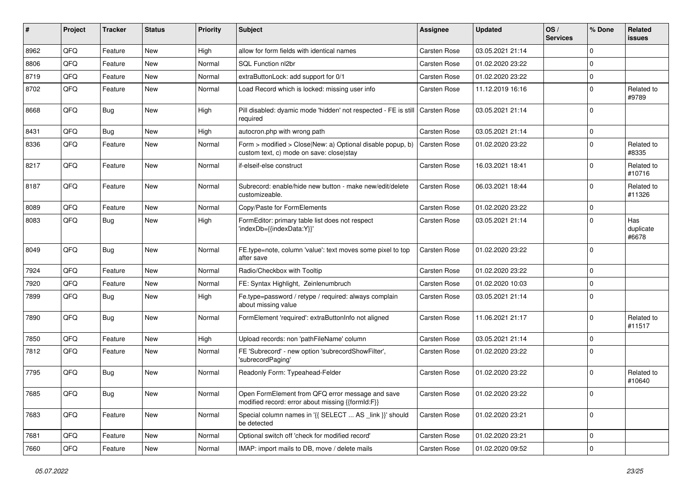| ∦    | Project | <b>Tracker</b> | <b>Status</b> | Priority | Subject                                                                                                | Assignee            | <b>Updated</b>   | OS/<br><b>Services</b> | % Done      | Related<br><b>issues</b>  |
|------|---------|----------------|---------------|----------|--------------------------------------------------------------------------------------------------------|---------------------|------------------|------------------------|-------------|---------------------------|
| 8962 | QFQ     | Feature        | <b>New</b>    | High     | allow for form fields with identical names                                                             | Carsten Rose        | 03.05.2021 21:14 |                        | $\Omega$    |                           |
| 8806 | QFQ     | Feature        | <b>New</b>    | Normal   | SQL Function nl2br                                                                                     | Carsten Rose        | 01.02.2020 23:22 |                        | $\Omega$    |                           |
| 8719 | QFQ     | Feature        | <b>New</b>    | Normal   | extraButtonLock: add support for 0/1                                                                   | Carsten Rose        | 01.02.2020 23:22 |                        | $\mathbf 0$ |                           |
| 8702 | QFQ     | Feature        | <b>New</b>    | Normal   | Load Record which is locked: missing user info                                                         | Carsten Rose        | 11.12.2019 16:16 |                        | $\Omega$    | Related to<br>#9789       |
| 8668 | QFQ     | Bug            | <b>New</b>    | High     | Pill disabled: dyamic mode 'hidden' not respected - FE is still   Carsten Rose<br>required             |                     | 03.05.2021 21:14 |                        | $\Omega$    |                           |
| 8431 | QFQ     | Bug            | <b>New</b>    | High     | autocron.php with wrong path                                                                           | Carsten Rose        | 03.05.2021 21:14 |                        | $\Omega$    |                           |
| 8336 | QFQ     | Feature        | <b>New</b>    | Normal   | Form > modified > Close New: a) Optional disable popup, b)<br>custom text, c) mode on save: close stay | Carsten Rose        | 01.02.2020 23:22 |                        | $\Omega$    | Related to<br>#8335       |
| 8217 | QFQ     | Feature        | <b>New</b>    | Normal   | if-elseif-else construct                                                                               | Carsten Rose        | 16.03.2021 18:41 |                        | $\Omega$    | Related to<br>#10716      |
| 8187 | QFQ     | Feature        | New           | Normal   | Subrecord: enable/hide new button - make new/edit/delete<br>customizeable.                             | Carsten Rose        | 06.03.2021 18:44 |                        | $\Omega$    | Related to<br>#11326      |
| 8089 | QFQ     | Feature        | <b>New</b>    | Normal   | Copy/Paste for FormElements                                                                            | Carsten Rose        | 01.02.2020 23:22 |                        | $\mathbf 0$ |                           |
| 8083 | QFQ     | Bug            | <b>New</b>    | High     | FormEditor: primary table list does not respect<br>'indexDb={{indexData:Y}}'                           | Carsten Rose        | 03.05.2021 21:14 |                        | $\Omega$    | Has<br>duplicate<br>#6678 |
| 8049 | QFQ     | Bug            | <b>New</b>    | Normal   | FE.type=note, column 'value': text moves some pixel to top<br>after save                               | <b>Carsten Rose</b> | 01.02.2020 23:22 |                        | $\Omega$    |                           |
| 7924 | QFQ     | Feature        | <b>New</b>    | Normal   | Radio/Checkbox with Tooltip                                                                            | Carsten Rose        | 01.02.2020 23:22 |                        | $\mathbf 0$ |                           |
| 7920 | QFQ     | Feature        | <b>New</b>    | Normal   | FE: Syntax Highlight, Zeinlenumbruch                                                                   | Carsten Rose        | 01.02.2020 10:03 |                        | $\Omega$    |                           |
| 7899 | QFQ     | Bug            | <b>New</b>    | High     | Fe.type=password / retype / required: always complain<br>about missing value                           | Carsten Rose        | 03.05.2021 21:14 |                        | $\Omega$    |                           |
| 7890 | QFQ     | Bug            | <b>New</b>    | Normal   | FormElement 'required': extraButtonInfo not aligned                                                    | Carsten Rose        | 11.06.2021 21:17 |                        | $\Omega$    | Related to<br>#11517      |
| 7850 | QFQ     | Feature        | <b>New</b>    | High     | Upload records: non 'pathFileName' column                                                              | Carsten Rose        | 03.05.2021 21:14 |                        | $\Omega$    |                           |
| 7812 | QFQ     | Feature        | <b>New</b>    | Normal   | FE 'Subrecord' - new option 'subrecordShowFilter',<br>'subrecordPaging'                                | Carsten Rose        | 01.02.2020 23:22 |                        | $\Omega$    |                           |
| 7795 | QFQ     | Bug            | <b>New</b>    | Normal   | Readonly Form: Typeahead-Felder                                                                        | Carsten Rose        | 01.02.2020 23:22 |                        | $\Omega$    | Related to<br>#10640      |
| 7685 | QFQ     | <b>Bug</b>     | New           | Normal   | Open FormElement from QFQ error message and save<br>modified record: error about missing {{formId:F}}  | Carsten Rose        | 01.02.2020 23:22 |                        | 0           |                           |
| 7683 | QFQ     | Feature        | New           | Normal   | Special column names in '{{ SELECT  AS _link }}' should<br>be detected                                 | Carsten Rose        | 01.02.2020 23:21 |                        | 0           |                           |
| 7681 | QFQ     | Feature        | New           | Normal   | Optional switch off 'check for modified record'                                                        | Carsten Rose        | 01.02.2020 23:21 |                        | $\mathbf 0$ |                           |
| 7660 | QFG     | Feature        | New           | Normal   | IMAP: import mails to DB, move / delete mails                                                          | Carsten Rose        | 01.02.2020 09:52 |                        | $\mathbf 0$ |                           |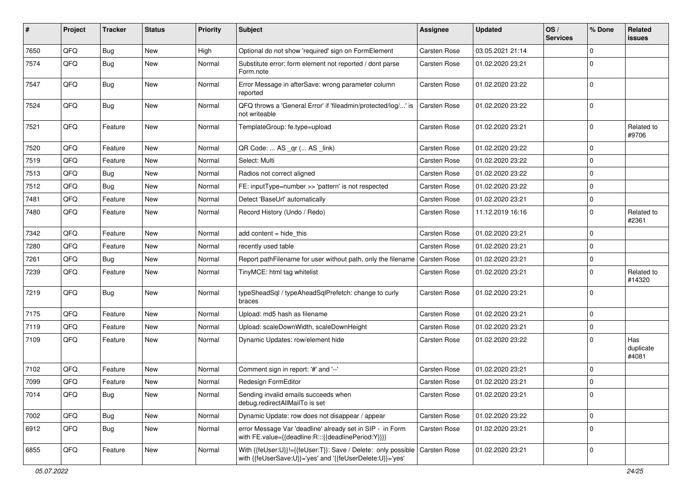| #    | Project | <b>Tracker</b> | <b>Status</b> | <b>Priority</b> | <b>Subject</b>                                                                                                             | <b>Assignee</b>     | <b>Updated</b>   | OS/<br><b>Services</b> | % Done      | Related<br>issues         |
|------|---------|----------------|---------------|-----------------|----------------------------------------------------------------------------------------------------------------------------|---------------------|------------------|------------------------|-------------|---------------------------|
| 7650 | QFQ     | Bug            | <b>New</b>    | High            | Optional do not show 'required' sign on FormElement                                                                        | Carsten Rose        | 03.05.2021 21:14 |                        | $\Omega$    |                           |
| 7574 | QFQ     | Bug            | New           | Normal          | Substitute error: form element not reported / dont parse<br>Form.note                                                      | <b>Carsten Rose</b> | 01.02.2020 23:21 |                        | $\Omega$    |                           |
| 7547 | QFQ     | Bug            | New           | Normal          | Error Message in afterSave: wrong parameter column<br>reported                                                             | <b>Carsten Rose</b> | 01.02.2020 23:22 |                        | $\Omega$    |                           |
| 7524 | QFQ     | <b>Bug</b>     | New           | Normal          | QFQ throws a 'General Error' if 'fileadmin/protected/log/' is<br>not writeable                                             | <b>Carsten Rose</b> | 01.02.2020 23:22 |                        | 0           |                           |
| 7521 | QFQ     | Feature        | New           | Normal          | TemplateGroup: fe.type=upload                                                                                              | Carsten Rose        | 01.02.2020 23:21 |                        | $\Omega$    | Related to<br>#9706       |
| 7520 | QFQ     | Feature        | New           | Normal          | QR Code:  AS _qr ( AS _link)                                                                                               | <b>Carsten Rose</b> | 01.02.2020 23:22 |                        | $\mathbf 0$ |                           |
| 7519 | QFQ     | Feature        | New           | Normal          | Select: Multi                                                                                                              | <b>Carsten Rose</b> | 01.02.2020 23:22 |                        | $\mathbf 0$ |                           |
| 7513 | QFQ     | Bug            | New           | Normal          | Radios not correct aligned                                                                                                 | <b>Carsten Rose</b> | 01.02.2020 23:22 |                        | $\mathbf 0$ |                           |
| 7512 | QFQ     | Bug            | New           | Normal          | FE: inputType=number >> 'pattern' is not respected                                                                         | <b>Carsten Rose</b> | 01.02.2020 23:22 |                        | $\mathbf 0$ |                           |
| 7481 | QFQ     | Feature        | New           | Normal          | Detect 'BaseUrl' automatically                                                                                             | Carsten Rose        | 01.02.2020 23:21 |                        | 0           |                           |
| 7480 | QFQ     | Feature        | New           | Normal          | Record History (Undo / Redo)                                                                                               | <b>Carsten Rose</b> | 11.12.2019 16:16 |                        | $\mathbf 0$ | Related to<br>#2361       |
| 7342 | QFQ     | Feature        | <b>New</b>    | Normal          | add content = hide_this                                                                                                    | <b>Carsten Rose</b> | 01.02.2020 23:21 |                        | 0           |                           |
| 7280 | QFQ     | Feature        | New           | Normal          | recently used table                                                                                                        | Carsten Rose        | 01.02.2020 23:21 |                        | $\Omega$    |                           |
| 7261 | QFQ     | Bug            | New           | Normal          | Report pathFilename for user without path, only the filename                                                               | <b>Carsten Rose</b> | 01.02.2020 23:21 |                        | $\mathbf 0$ |                           |
| 7239 | QFQ     | Feature        | New           | Normal          | TinyMCE: html tag whitelist                                                                                                | Carsten Rose        | 01.02.2020 23:21 |                        | $\Omega$    | Related to<br>#14320      |
| 7219 | QFQ     | Bug            | New           | Normal          | typeSheadSql / typeAheadSqlPrefetch: change to curly<br>braces                                                             | Carsten Rose        | 01.02.2020 23:21 |                        | 0           |                           |
| 7175 | QFQ     | Feature        | <b>New</b>    | Normal          | Upload: md5 hash as filename                                                                                               | <b>Carsten Rose</b> | 01.02.2020 23:21 |                        | $\Omega$    |                           |
| 7119 | QFQ     | Feature        | New           | Normal          | Upload: scaleDownWidth, scaleDownHeight                                                                                    | <b>Carsten Rose</b> | 01.02.2020 23:21 |                        | $\mathbf 0$ |                           |
| 7109 | QFQ     | Feature        | New           | Normal          | Dynamic Updates: row/element hide                                                                                          | <b>Carsten Rose</b> | 01.02.2020 23:22 |                        | $\Omega$    | Has<br>duplicate<br>#4081 |
| 7102 | QFQ     | Feature        | New           | Normal          | Comment sign in report: '#' and '--'                                                                                       | <b>Carsten Rose</b> | 01.02.2020 23:21 |                        | $\mathbf 0$ |                           |
| 7099 | QFQ     | Feature        | New           | Normal          | Redesign FormEditor                                                                                                        | <b>Carsten Rose</b> | 01.02.2020 23:21 |                        | $\mathbf 0$ |                           |
| 7014 | QFQ     | <b>Bug</b>     | New           | Normal          | Sending invalid emails succeeds when<br>debug.redirectAllMailTo is set                                                     | Carsten Rose        | 01.02.2020 23:21 |                        | 0           |                           |
| 7002 | QFQ     | <b>Bug</b>     | New           | Normal          | Dynamic Update: row does not disappear / appear                                                                            | Carsten Rose        | 01.02.2020 23:22 |                        | 0           |                           |
| 6912 | QFQ     | Bug            | New           | Normal          | error Message Var 'deadline' already set in SIP - in Form<br>with FE.value={{deadline:R:::{{deadlinePeriod:Y}}}}           | Carsten Rose        | 01.02.2020 23:21 |                        | $\mathbf 0$ |                           |
| 6855 | QFQ     | Feature        | New           | Normal          | With {{feUser:U}}!={{feUser:T}}: Save / Delete: only possible<br>with {{feUserSave:U}}='yes' and '{{feUserDelete:U}}='yes' | Carsten Rose        | 01.02.2020 23:21 |                        | 0           |                           |